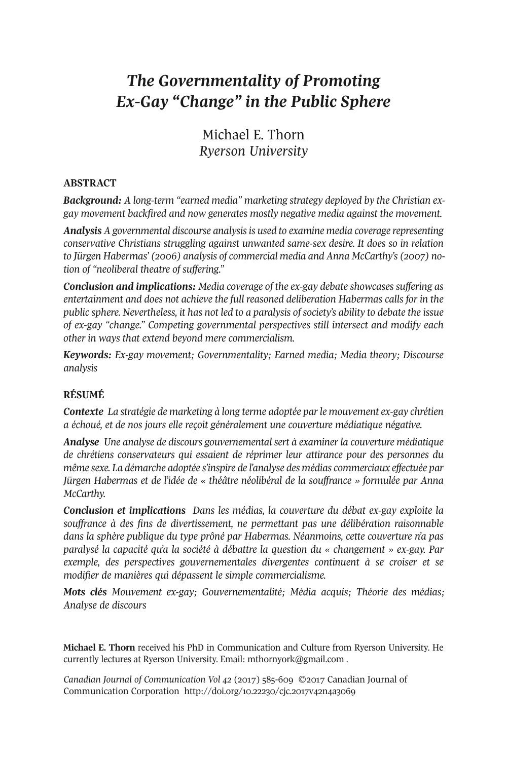### *The Governmentality of Promoting Ex-Gay "Change" in the Public Sphere*

Michael E. Thorn *Ryerson University*

#### **ABSTRACT**

*Background: A long-term "earned media" marketing strategy deployed by the Christian exgay movement backfired and now generates mostly negative media against the movement.*

*Analysis A governmental discourse analysisis used to examine media coverage representing conservative Christians struggling against unwanted same-sex desire. It does so in relation to Jürgen Habermas' (2006) analysis of commercial media and Anna McCarthy's (2007) notion of "neoliberal theatre of suffering."*

*Conclusion and implications: Media coverage of the ex-gay debate showcases suffering as entertainment and does not achieve the full reasoned deliberation Habermas calls for in the public sphere. Nevertheless, it has not led to a paralysis of society's ability to debate the issue of ex-gay "change." Competing governmental perspectives still intersect and modify each other in ways that extend beyond mere commercialism.*

*Keywords: Ex-gay movement; Governmentality; Earned media; Media theory; Discourse analysis*

#### **RÉSUMÉ**

*Contexte La stratégie de marketing à long terme adoptée parle mouvement ex-gay chrétien a échoué, et de nos jours elle reçoit généralement une couverture médiatique négative.*

*Analyse Une analyse de discours gouvernemental sert à examiner la couverture médiatique de chrétiens conservateurs qui essaient de réprimer leur attirance pour des personnes du même sexe. La démarche adoptée s'inspire de l'analyse des médias commerciaux effectuée par Jürgen Habermas et de l'idée de « théâtre néolibéral de la souffrance » formulée par Anna McCarthy.*

*Conclusion et implications Dans les médias, la couverture du débat ex-gay exploite la souffrance à des fins de divertissement, ne permettant pas une délibération raisonnable dans la sphère publique du type prôné par Habermas. Néanmoins, cette couverture n'a pas paralysé la capacité qu'a la société à débattre la question du « changement » ex-gay. Par exemple, des perspectives gouvernementales divergentes continuent à se croiser et se modifier de manières qui dépassent le simple commercialisme.*

*Mots clés Mouvement ex-gay; Gouvernementalité; Média acquis; Théorie des médias; Analyse de discours*

**Michael E. Thorn** received his PhD in Communication and Culture from Ryerson University. He currently lectures at Ryerson University. Email: [mthornyork@gmail.com](mailto:mthornyork@gmail.com) .

*Canadian Journal of [Communication](http://www.cjc-online.ca) Vol 42* (2017) 585-609 ©2017 Canadian Journal of Communication Corporation <http://doi.org/10.22230/cjc.2017v42n4a3069>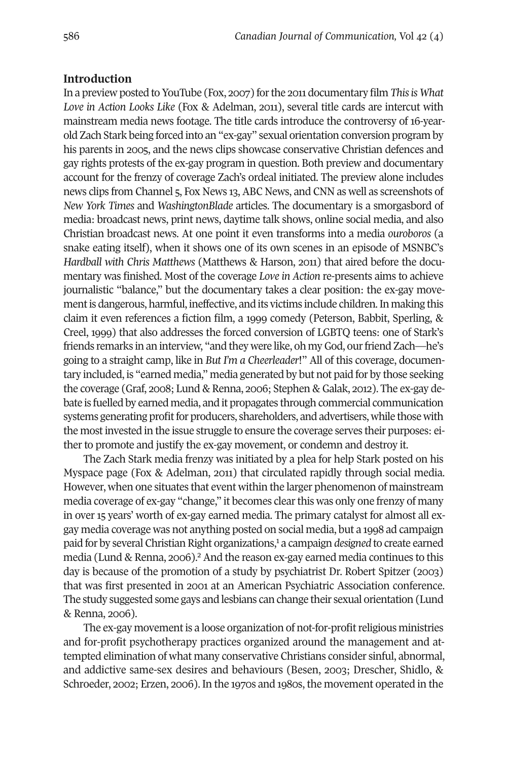#### **Introduction**

In a preview posted toYouTube (Fox, 2007) forthe 2011 documentary film *Thisis What Love in Action Looks Like* (Fox & Adelman, 2011), several title cards are intercut with mainstream media news footage. The title cards introduce the controversy of 16-yearold Zach Stark being forced into an "ex-gay" sexual orientation conversion program by his parents in 2005, and the news clips showcase conservative Christian defences and gay rights protests of the ex-gay program in question. Both preview and documentary account for the frenzy of coverage Zach's ordeal initiated. The preview alone includes news clips from Channel 5, Fox News 13, ABC News, and CNN as well as screenshots of *New York Times* and *WashingtonBlade* articles. The documentary is a smorgasbord of media: broadcast news, print news, daytime talk shows, online social media, and also Christian broadcast news. At one point it even transforms into a media *ouroboros* (a snake eating itself), when it shows one of its own scenes in an episode of MSNBC's *Hardball with Chris Matthews* (Matthews & Harson, 2011) that aired before the documentary was finished. Most of the coverage *Love in Action* re-presents aims to achieve journalistic "balance," but the documentary takes a clear position: the ex-gay movement is dangerous, harmful, ineffective, and its victims include children. In making this claim it even references a fiction film, a 1999 comedy (Peterson, Babbit, Sperling, & Creel, 1999) that also addresses the forced conversion of LGBTQ teens: one of Stark's friends remarks in an interview, "and they were like, oh my God, our friend Zach—he's going to a straight camp, like in *But I'm a Cheerleader*!" All of this coverage, documentary included, is "earned media," media generated by but not paid for by those seeking the coverage (Graf, 2008; Lund & Renna, 2006; Stephen & Galak, 2012). The ex-gay debate is fuelled by earned media, and it propagates through commercial communication systems generating profit for producers, shareholders, and advertisers, while those with the mostinvested in the issue struggle to ensure the coverage serves their purposes: either to promote and justify the ex-gay movement, or condemn and destroy it.

The Zach Stark media frenzy was initiated by a plea for help Stark posted on his Myspace page (Fox & Adelman, 2011) that circulated rapidly through social media. However, when one situates that event within the larger phenomenon of mainstream media coverage of ex-gay "change," it becomes clear this was only one frenzy of many in over 15 years' worth of ex-gay earned media. The primary catalyst for almost all exgay media coverage was not anything posted on social media, but a 1998 ad campaign paid for by several Christian Right organizations,<sup>[1](#page-16-0)</sup> a campaign *designed* to create earned media (Lund & Renna, 2006). [2](#page-16-1) And the reason ex-gay earned media continues to this day is because of the promotion of a study by psychiatrist Dr. Robert Spitzer (2003) that was first presented in 2001 at an American Psychiatric Association conference. The study suggested some gays and lesbians can change their sexual orientation (Lund & Renna, 2006).

The ex-gay movement is a loose organization of not-for-profit religious ministries and for-profit psychotherapy practices organized around the management and attempted elimination of what many conservative Christians consider sinful, abnormal, and addictive same-sex desires and behaviours (Besen, 2003; Drescher, Shidlo, & Schroeder, 2002; Erzen, 2006). In the 1970s and 1980s, the movement operated in the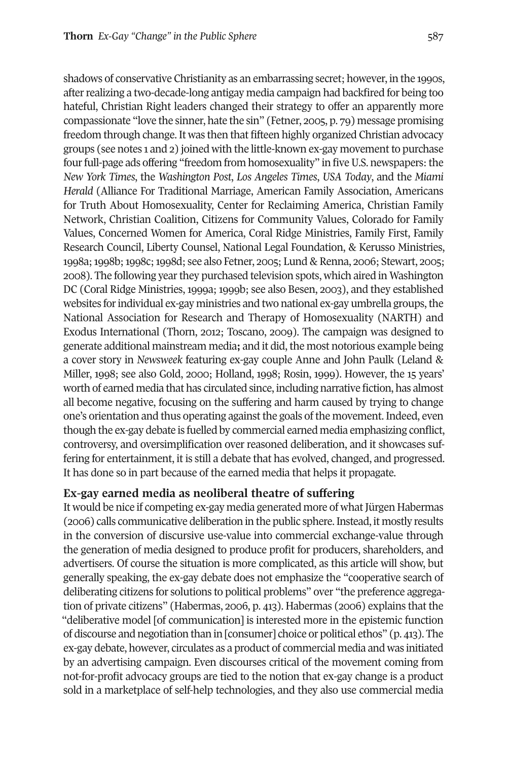shadows of conservative Christianity as an embarrassing secret; however, in the 1990s, after realizing a two-decade-long antigay media campaign had backfired for being too hateful, Christian Right leaders changed their strategy to offer an apparently more compassionate "love the sinner, hate the sin" (Fetner, 2005, p. 79) message promising freedom through change. It was then that fifteen highly organized Christian advocacy groups (see notes 1 and 2) joined with the little-known ex-gay movementto purchase four full-page ads offering "freedom from homosexuality" in five U.S. newspapers: the *New York Times*, the *Washington Post*, *Los Angeles Times*, *USA Today*, and the *Miami Herald* (Alliance For Traditional Marriage, American Family Association, Americans for Truth About Homosexuality, Center for Reclaiming America, Christian Family Network, Christian Coalition, Citizens for Community Values, Colorado for Family Values, Concerned Women for America, Coral Ridge Ministries, Family First, Family Research Council, Liberty Counsel, National Legal Foundation, & Kerusso Ministries, 1998a;1998b;1998c;1998d; see also Fetner, 2005; Lund & Renna, 2006; Stewart, 2005; 2008). The following yearthey purchased television spots, which aired in Washington DC (Coral Ridge Ministries, 1999a; 1999b; see also Besen, 2003), and they established websites for individual ex-gay ministries and two national ex-gay umbrella groups, the National Association for Research and Therapy of Homosexuality (NARTH) and Exodus International (Thorn, 2012; Toscano, 2009). The campaign was designed to generate additional mainstream media**;** and it did, the most notorious example being a cover story in *Newsweek* featuring ex-gay couple Anne and John Paulk (Leland & Miller, 1998; see also Gold, 2000; Holland, 1998; Rosin, 1999). However, the 15 years' worth of earned media that has circulated since, including narrative fiction, has almost all become negative, focusing on the suffering and harm caused by trying to change one's orientation and thus operating against the goals of the movement. Indeed, even though the ex-gay debate is fuelled by commercial earned media emphasizing conflict, controversy, and oversimplification over reasoned deliberation, and it showcases suffering for entertainment, it is still a debate that has evolved, changed, and progressed. It has done so in part because of the earned media that helps it propagate.

#### **Ex-gay earned media as neoliberal theatre of suffering**

It would be nice if competing ex-gay media generated more of what Jürgen Habermas (2006) calls communicative deliberation in the public sphere. Instead, it mostly results in the conversion of discursive use-value into commercial exchange-value through the generation of media designed to produce profit for producers, shareholders, and advertisers. Of course the situation is more complicated, as this article will show, but generally speaking, the ex-gay debate does not emphasize the "cooperative search of deliberating citizens for solutions to political problems" over "the preference aggregation of private citizens" (Habermas, 2006, p. 413). Habermas (2006) explains that the "deliberative model [of communication] is interested more in the epistemic function of discourse and negotiation than in [consumer] choice or political ethos" (p. 413). The ex-gay debate, however, circulates as a product of commercial media and was initiated by an advertising campaign. Even discourses critical of the movement coming from not-for-profit advocacy groups are tied to the notion that ex-gay change is a product sold in a marketplace of self-help technologies, and they also use commercial media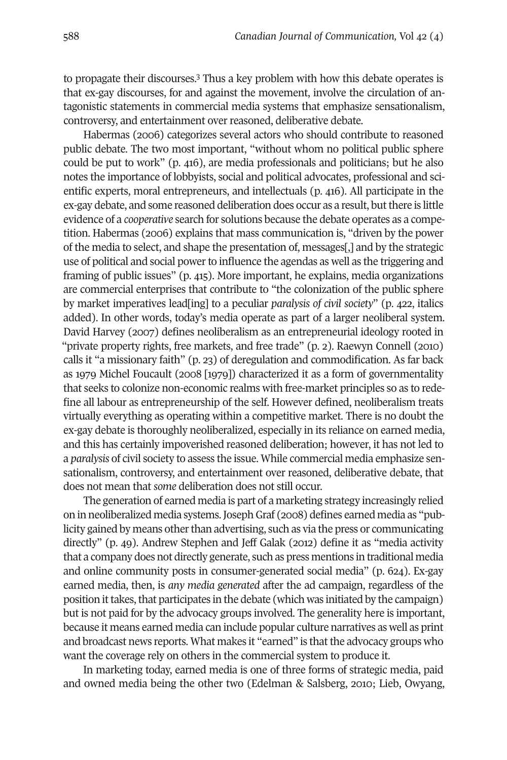to propagate their discourses. [3](#page-16-2) Thus a key problem with how this debate operates is that ex-gay discourses, for and against the movement, involve the circulation of antagonistic statements in commercial media systems that emphasize sensationalism, controversy, and entertainment over reasoned, deliberative debate.

Habermas (2006) categorizes several actors who should contribute to reasoned public debate. The two most important, "without whom no political public sphere could be put to work" (p. 416), are media professionals and politicians; but he also notes the importance of lobbyists, social and political advocates, professional and scientific experts, moral entrepreneurs, and intellectuals (p. 416). All participate in the ex-gay debate, and some reasoned deliberation does occur as a result, butthere is little evidence of a *cooperative* search for solutions because the debate operates as a competition. Habermas (2006) explains that mass communication is, "driven by the power of the media to select, and shape the presentation of, messages[,] and by the strategic use of political and social powerto influence the agendas as well as the triggering and framing of public issues" (p. 415). More important, he explains, media organizations are commercial enterprises that contribute to "the colonization of the public sphere by market imperatives lead[ing] to a peculiar *paralysis of civil society*" (p. 422, italics added). In other words, today's media operate as part of a larger neoliberal system. David Harvey (2007) defines neoliberalism as an entrepreneurial ideology rooted in "private property rights, free markets, and free trade" (p. 2). Raewyn Connell (2010) calls it "a missionary faith" (p. 23) of deregulation and commodification. As far back as 1979 Michel Foucault (2008 [1979]) characterized it as a form of governmentality that seeks to colonize non-economic realms with free-market principles so as to redefine all labour as entrepreneurship of the self. However defined, neoliberalism treats virtually everything as operating within a competitive market. There is no doubt the ex-gay debate is thoroughly neoliberalized, especially in its reliance on earned media, and this has certainly impoverished reasoned deliberation; however, it has not led to a *paralysis* of civil society to assess the issue. While commercial media emphasize sensationalism, controversy, and entertainment over reasoned, deliberative debate, that does not mean that *some* deliberation does not still occur.

The generation of earned media is part of a marketing strategy increasingly relied on in neoliberalized media systems.JosephGraf (2008) defines earned media as "publicity gained by means other than advertising, such as via the press or communicating directly" (p. 49). Andrew Stephen and Jeff Galak (2012) define it as "media activity that a company does not directly generate, such as press mentions in traditional media and online community posts in consumer-generated social media" (p. 624). Ex-gay earned media, then, is *any media generated* after the ad campaign, regardless of the position it takes, that participates in the debate (which was initiated by the campaign) but is not paid for by the advocacy groups involved. The generality here is important, because it means earned media can include popular culture narratives as well as print and broadcast news reports. What makes it "earned" is that the advocacy groups who want the coverage rely on others in the commercial system to produce it.

In marketing today, earned media is one of three forms of strategic media, paid and owned media being the other two (Edelman & Salsberg, 2010; Lieb, Owyang,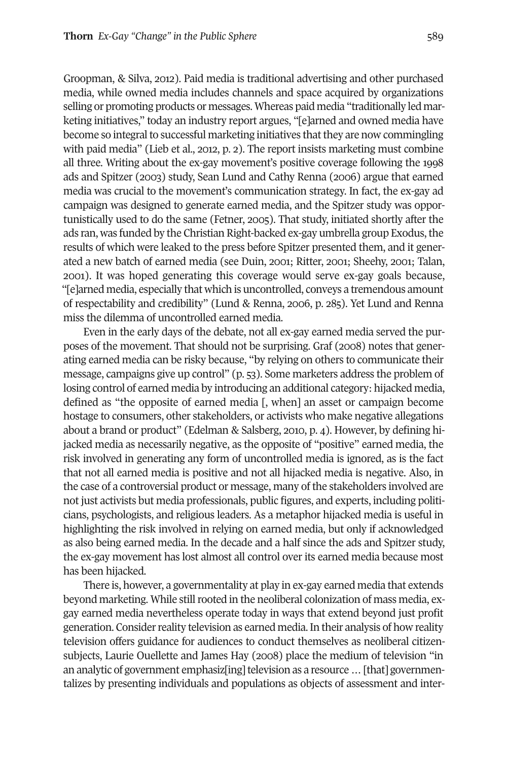Groopman, & Silva, 2012). Paid media is traditional advertising and other purchased media, while owned media includes channels and space acquired by organizations selling or promoting products or messages. Whereas paid media "traditionally led marketing initiatives," today an industry report argues, "[e]arned and owned media have become so integral to successful marketing initiatives that they are now commingling with paid media" (Lieb et al., 2012, p. 2). The report insists marketing must combine all three. Writing about the ex-gay movement's positive coverage following the 1998 ads and Spitzer (2003) study, Sean Lund and Cathy Renna (2006) argue that earned media was crucial to the movement's communication strategy. In fact, the ex-gay ad campaign was designed to generate earned media, and the Spitzer study was opportunistically used to do the same (Fetner, 2005). That study, initiated shortly after the ads ran, was funded by the Christian Right-backed ex-gay umbrella group Exodus, the results of which were leaked to the press before Spitzer presented them, and it generated a new batch of earned media (see Duin, 2001; Ritter, 2001; Sheehy, 2001; Talan, 2001). It was hoped generating this coverage would serve ex-gay goals because, "[e]arned media, especially that which is uncontrolled, conveys a tremendous amount of respectability and credibility" (Lund & Renna, 2006, p. 285). Yet Lund and Renna miss the dilemma of uncontrolled earned media.

Even in the early days of the debate, not all ex-gay earned media served the purposes of the movement. That should not be surprising. Graf (2008) notes that generating earned media can be risky because, "by relying on others to communicate their message, campaigns give up control" (p. 53). Some marketers address the problem of losing control of earned media by introducing an additional category: hijacked media, defined as "the opposite of earned media [, when] an asset or campaign become hostage to consumers, other stakeholders, or activists who make negative allegations about a brand or product" (Edelman & Salsberg, 2010, p. 4). However, by defining hijacked media as necessarily negative, as the opposite of "positive" earned media, the risk involved in generating any form of uncontrolled media is ignored, as is the fact that not all earned media is positive and not all hijacked media is negative. Also, in the case of a controversial product or message, many of the stakeholders involved are not just activists but media professionals, public figures, and experts, including politicians, psychologists, and religious leaders. As a metaphor hijacked media is useful in highlighting the risk involved in relying on earned media, but only if acknowledged as also being earned media. In the decade and a half since the ads and Spitzer study, the ex-gay movement has lost almost all control over its earned media because most has been hijacked.

There is, however, a governmentality at play in ex-gay earned media that extends beyond marketing. While still rooted in the neoliberal colonization of mass media, exgay earned media nevertheless operate today in ways that extend beyond just profit generation. Consider reality television as earned media. In their analysis of how reality television offers guidance for audiences to conduct themselves as neoliberal citizensubjects, Laurie Ouellette and James Hay (2008) place the medium of television "in an analytic of government emphasiz[ing] television as a resource ... [that] governmentalizes by presenting individuals and populations as objects of assessment and inter-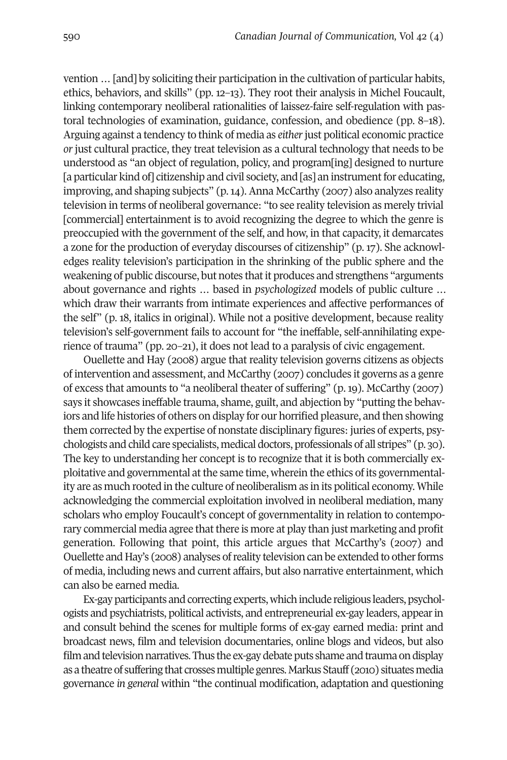vention … [and] by soliciting their participation in the cultivation of particular habits, ethics, behaviors, and skills" (pp. 12–13). They root their analysis in Michel Foucault, linking contemporary neoliberal rationalities of laissez-faire self-regulation with pastoral technologies of examination, guidance, confession, and obedience (pp. 8–18). Arguing against a tendency to think of media as *either*just political economic practice *or* just cultural practice, they treat television as a cultural technology that needs to be understood as "an object of regulation, policy, and program[ing] designed to nurture [a particular kind of] citizenship and civil society, and [as] an instrumentfor educating, improving, and shaping subjects" (p.14). Anna McCarthy (2007) also analyzes reality television in terms of neoliberal governance: "to see reality television as merely trivial [commercial] entertainment is to avoid recognizing the degree to which the genre is preoccupied with the government of the self, and how, in that capacity, it demarcates a zone for the production of everyday discourses of citizenship" (p. 17). She acknowledges reality television's participation in the shrinking of the public sphere and the weakening of public discourse, but notes thatit produces and strengthens "arguments about governance and rights … based in *psychologized* models of public culture … which draw their warrants from intimate experiences and affective performances of the self" (p. 18, italics in original). While not a positive development, because reality television's self-government fails to account for "the ineffable, self-annihilating experience of trauma" (pp. 20–21), it does not lead to a paralysis of civic engagement.

Ouellette and Hay (2008) argue that reality television governs citizens as objects of intervention and assessment, and McCarthy (2007) concludes it governs as a genre of excess that amounts to "a neoliberal theater of suffering" (p. 19). McCarthy (2007) says it showcases ineffable trauma, shame, guilt, and abjection by "putting the behaviors and life histories of others on display for our horrified pleasure, and then showing them corrected by the expertise of nonstate disciplinary figures: juries of experts, psychologists and child care specialists, medical doctors, professionals of all stripes" (p. 30). The key to understanding her concept is to recognize that it is both commercially exploitative and governmental atthe same time, wherein the ethics of its governmentality are as much rooted in the culture of neoliberalism as in its political economy. While acknowledging the commercial exploitation involved in neoliberal mediation, many scholars who employ Foucault's concept of governmentality in relation to contemporary commercial media agree that there is more at play than just marketing and profit generation. Following that point, this article argues that McCarthy's (2007) and Ouellette and Hay's (2008) analyses of reality television can be extended to other forms of media, including news and current affairs, but also narrative entertainment, which can also be earned media.

Ex-gay participants and correcting experts, which include religious leaders, psychologists and psychiatrists, political activists, and entrepreneurial ex-gay leaders, appearin and consult behind the scenes for multiple forms of ex-gay earned media: print and broadcast news, film and television documentaries, online blogs and videos, but also film and television narratives. Thus the ex-gay debate puts shame and trauma on display as a theatre of suffering that crosses multiple genres. Markus Stauff (2010) situates media governance *in general* within "the continual modification, adaptation and questioning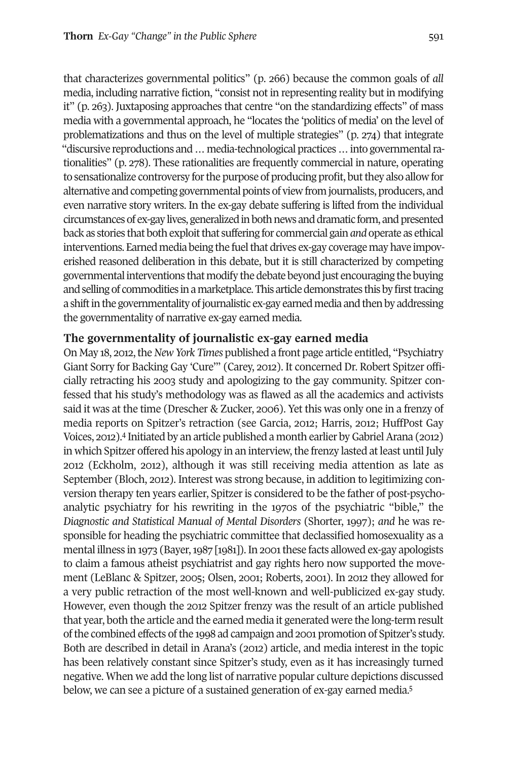that characterizes governmental politics" (p. 266) because the common goals of *all* media, including narrative fiction, "consist not in representing reality but in modifying it" (p. 263). Juxtaposing approaches that centre "on the standardizing effects" of mass media with a governmental approach, he "locates the 'politics of media' on the level of problematizations and thus on the level of multiple strategies" (p. 274) that integrate "discursive reproductions and…media-technological practices…into governmentalrationalities" (p. 278). These rationalities are frequently commercial in nature, operating to sensationalize controversy for the purpose of producing profit, but they also allow for alternative and competing governmental points of view from journalists, producers, and even narrative story writers. In the ex-gay debate suffering is lifted from the individual circumstances of ex-gay lives, generalized in both news and dramatic form, and presented back as stories that bothexploitthat suffering for commercial gain*and* operate as ethical interventions. Earned media being the fuel that drives ex-gay coverage may have impoverished reasoned deliberation in this debate, but it is still characterized by competing governmental interventions thatmodify the debate beyond just encouraging the buying and selling of commodities in a marketplace. This article demonstrates this by first tracing a shift in the governmentality of journalistic ex-gay earned media and then by addressing the governmentality of narrative ex-gay earned media.

#### **The governmentality of journalistic ex-gay earned media**

On May 18, 2012, the *New York Times* published a front page article entitled, "Psychiatry Giant Sorry for Backing Gay 'Cure'" (Carey, 2012). It concerned Dr. Robert Spitzer officially retracting his 2003 study and apologizing to the gay community. Spitzer confessed that his study's methodology was as flawed as all the academics and activists said it was at the time (Drescher & Zucker, 2006). Yet this was only one in a frenzy of media reports on Spitzer's retraction (see Garcia, 2012; Harris, 2012; HuffPost Gay Voices, 2012).<sup>[4](#page-16-3)</sup> Initiated by an article published a month earlier by Gabriel Arana (2012) in which Spitzer offered his apology in an interview, the frenzy lasted at least until July 2012 (Eckholm, 2012), although it was still receiving media attention as late as September (Bloch, 2012). Interest was strong because, in addition to legitimizing conversion therapy ten years earlier, Spitzer is considered to be the father of post-psychoanalytic psychiatry for his rewriting in the 1970s of the psychiatric "bible," the *Diagnostic and Statistical Manual of Mental Disorders* (Shorter, 1997); *and* he was responsible for heading the psychiatric committee that declassified homosexuality as a mental illness in 1973 (Bayer,1987 [1981]).In 2001these facts allowed ex-gay apologists to claim a famous atheist psychiatrist and gay rights hero now supported the movement (LeBlanc & Spitzer, 2005; Olsen, 2001; Roberts, 2001). In 2012 they allowed for a very public retraction of the most well-known and well-publicized ex-gay study. However, even though the 2012 Spitzer frenzy was the result of an article published that year, both the article and the earned media it generated were the long-term result ofthe combined effects ofthe 1998 ad campaign and 2001 promotion of Spitzer's study. Both are described in detail in Arana's (2012) article, and media interest in the topic has been relatively constant since Spitzer's study, even as it has increasingly turned negative. When we add the long list of narrative popular culture depictions discussed below, we can see a picture of a sustained generation of ex-gay earned media.<sup>[5](#page-16-4)</sup>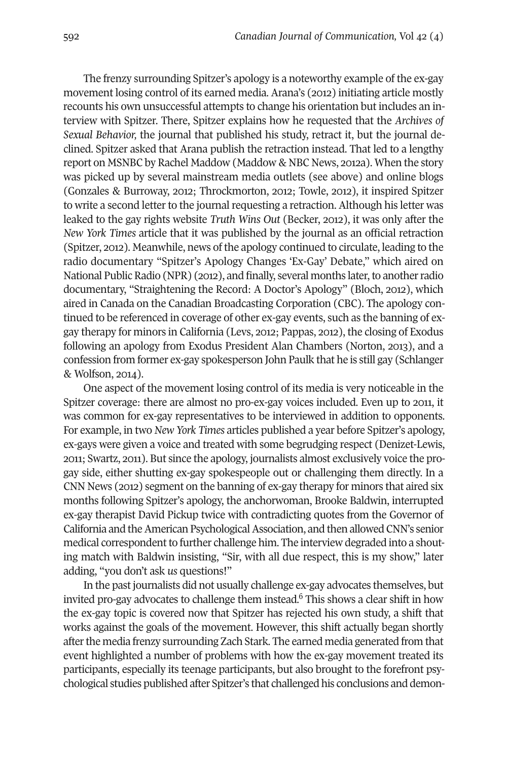The frenzy surrounding Spitzer's apology is a noteworthy example of the ex-gay movement losing control of its earned media. Arana's (2012) initiating article mostly recounts his own unsuccessful attempts to change his orientation but includes an interview with Spitzer. There, Spitzer explains how he requested that the *Archives of Sexual Behavior,* the journal that published his study, retract it, but the journal declined. Spitzer asked that Arana publish the retraction instead. That led to a lengthy report on MSNBC by Rachel Maddow (Maddow & NBC News, 2012a). When the story was picked up by several mainstream media outlets (see above) and online blogs (Gonzales & Burroway, 2012; Throckmorton, 2012; Towle, 2012), it inspired Spitzer to write a second letter to the journal requesting a retraction. Although his letter was leaked to the gay rights website *Truth Wins Out* (Becker, 2012), it was only after the *New York Times* article that it was published by the journal as an official retraction (Spitzer, 2012). Meanwhile, news of the apology continued to circulate, leading to the radio documentary "Spitzer's Apology Changes 'Ex-Gay' Debate," which aired on National Public Radio (NPR) (2012), and finally, several months later, to another radio documentary, "Straightening the Record: A Doctor's Apology" (Bloch, 2012), which aired in Canada on the Canadian Broadcasting Corporation (CBC). The apology continued to be referenced in coverage of other ex-gay events, such as the banning of exgay therapy for minors in California (Levs, 2012; Pappas, 2012), the closing of Exodus following an apology from Exodus President Alan Chambers (Norton, 2013), and a confession from former ex-gay spokesperson John Paulk that he is still gay (Schlanger & Wolfson, 2014).

One aspect of the movement losing control of its media is very noticeable in the Spitzer coverage: there are almost no pro-ex-gay voices included. Even up to 2011, it was common for ex-gay representatives to be interviewed in addition to opponents. For example, in two *New York Times* articles published a year before Spitzer's apology, ex-gays were given a voice and treated with some begrudging respect (Denizet-Lewis, 2011; Swartz, 2011). But since the apology, journalists almost exclusively voice the progay side, either shutting ex-gay spokespeople out or challenging them directly. In a CNN News (2012) segment on the banning of ex-gay therapy for minors that aired six months following Spitzer's apology, the anchorwoman, Brooke Baldwin, interrupted ex-gay therapist David Pickup twice with contradicting quotes from the Governor of California and the American Psychological Association, and then allowed CNN's senior medical correspondent to further challenge him. The interview degraded into a shouting match with Baldwin insisting, "Sir, with all due respect, this is my show," later adding, "you don't ask *us* questions!"

In the past journalists did not usually challenge ex-gay advocates themselves, but invited pro-gay advocates to challenge them instead. [6](#page-17-0) This shows a clear shift in how the ex-gay topic is covered now that Spitzer has rejected his own study, a shift that works against the goals of the movement. However, this shift actually began shortly after the media frenzy surrounding Zach Stark. The earned media generated from that event highlighted a number of problems with how the ex-gay movement treated its participants, especially its teenage participants, but also brought to the forefront psychological studies published after Spitzer's that challenged his conclusions and demon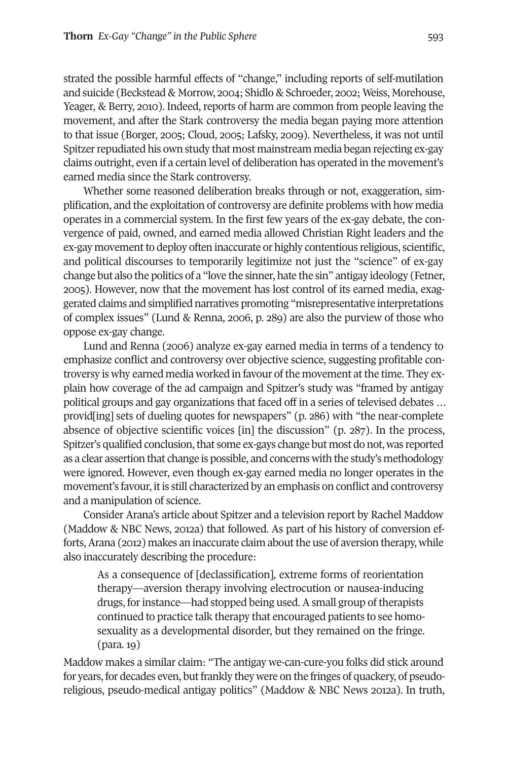strated the possible harmful effects of "change," including reports of self-mutilation and suicide (Beckstead & Morrow, 2004; Shidlo & Schroeder, 2002; Weiss, Morehouse, Yeager, & Berry, 2010). Indeed, reports of harm are common from people leaving the movement, and after the Stark controversy the media began paying more attention to that issue (Borger, 2005; Cloud, 2005; Lafsky, 2009). Nevertheless, it was not until Spitzer repudiated his own study that most mainstream media began rejecting ex-gay claims outright, even if a certain level of deliberation has operated in the movement's earned media since the Stark controversy.

Whether some reasoned deliberation breaks through or not, exaggeration, simplification, and the exploitation of controversy are definite problems with how media operates in a commercial system. In the first few years of the ex-gay debate, the convergence of paid, owned, and earned media allowed Christian Right leaders and the ex-gay movement to deploy often inaccurate or highly contentious religious, scientific, and political discourses to temporarily legitimize not just the "science" of ex-gay change but also the politics of a "love the sinner, hate the sin" antigay ideology (Fetner, 2005). However, now that the movement has lost control of its earned media, exaggerated claims and simplified narratives promoting "misrepresentative interpretations of complex issues" (Lund & Renna, 2006, p. 289) are also the purview of those who oppose ex-gay change.

Lund and Renna (2006) analyze ex-gay earned media in terms of a tendency to emphasize conflict and controversy over objective science, suggesting profitable controversy is why earned media worked in favour of the movement at the time. They explain how coverage of the ad campaign and Spitzer's study was "framed by antigay political groups and gay organizations that faced off in a series of televised debates … provid[ing] sets of dueling quotes for newspapers" (p. 286) with "the near-complete absence of objective scientific voices [in] the discussion" (p. 287). In the process, Spitzer's qualified conclusion, that some ex-gays change but most do not, was reported as a clear assertion that change is possible, and concerns with the study's methodology were ignored. However, even though ex-gay earned media no longer operates in the movement's favour, it is still characterized by an emphasis on conflict and controversy and a manipulation of science.

Consider Arana's article about Spitzer and a television report by Rachel Maddow (Maddow & NBC News, 2012a) that followed. As part of his history of conversion efforts, Arana (2012) makes an inaccurate claim about the use of aversion therapy, while also inaccurately describing the procedure:

As a consequence of [declassification], extreme forms of reorientation therapy—aversion therapy involving electrocution or nausea-inducing drugs, for instance—had stopped being used. A small group of therapists continued to practice talk therapy that encouraged patients to see homosexuality as a developmental disorder, but they remained on the fringe. (para. 19)

Maddow makes a similar claim: "The antigay we-can-cure-you folks did stick around for years, for decades even, but frankly they were on the fringes of quackery, of pseudoreligious, pseudo-medical antigay politics" (Maddow & NBC News 2012a). In truth,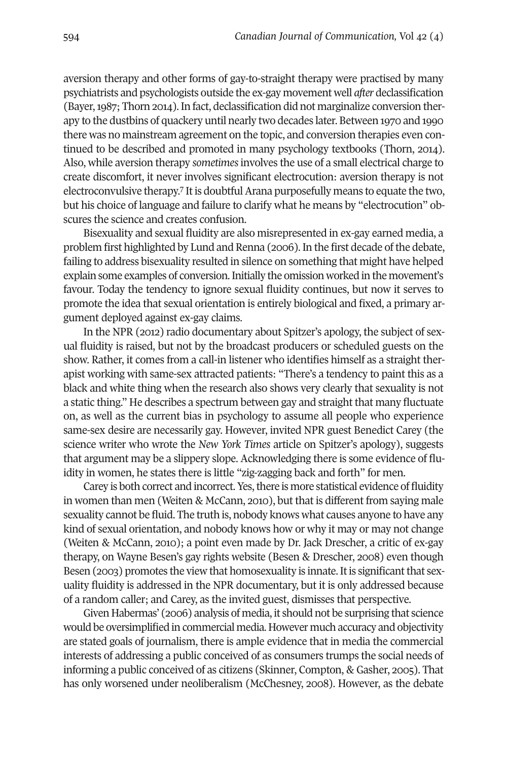aversion therapy and other forms of gay-to-straight therapy were practised by many psychiatrists and psychologists outside the ex-gay movement well *after* declassification (Bayer, 1987; Thorn 2014). In fact, declassification did not marginalize conversion therapy to the dustbins of quackery until nearly two decades later. Between 1970 and 1990 there was no mainstream agreement on the topic, and conversion therapies even continued to be described and promoted in many psychology textbooks (Thorn, 2014). Also, while aversion therapy *sometimes*involves the use of a small electrical charge to create discomfort, it never involves significant electrocution: aversion therapy is not electroconvulsive therapy.<sup>[7](#page-17-1)</sup> It is doubtful Arana purposefully means to equate the two, but his choice of language and failure to clarify what he means by "electrocution" obscures the science and creates confusion.

Bisexuality and sexual fluidity are also misrepresented in ex-gay earned media, a problem first highlighted by Lund and Renna (2006). In the first decade of the debate, failing to address bisexuality resulted in silence on something that might have helped explain some examples of conversion. Initially the omission worked in the movement's favour. Today the tendency to ignore sexual fluidity continues, but now it serves to promote the idea that sexual orientation is entirely biological and fixed, a primary argument deployed against ex-gay claims.

In the NPR (2012) radio documentary about Spitzer's apology, the subject of sexual fluidity is raised, but not by the broadcast producers or scheduled guests on the show. Rather, it comes from a call-in listener who identifies himself as a straight therapist working with same-sex attracted patients: "There's a tendency to paint this as a black and white thing when the research also shows very clearly that sexuality is not a static thing." He describes a spectrum between gay and straight that many fluctuate on, as well as the current bias in psychology to assume all people who experience same-sex desire are necessarily gay. However, invited NPR guest Benedict Carey (the science writer who wrote the *New York Times* article on Spitzer's apology), suggests that argument may be a slippery slope. Acknowledging there is some evidence of fluidity in women, he states there is little "zig-zagging back and forth" for men.

Carey is both correct and incorrect. Yes, there is more statistical evidence of fluidity in women than men (Weiten & McCann, 2010), but that is different from saying male sexuality cannot be fluid. The truth is, nobody knows what causes anyone to have any kind of sexual orientation, and nobody knows how or why it may or may not change (Weiten & McCann, 2010); a point even made by Dr. Jack Drescher, a critic of ex-gay therapy, on Wayne Besen's gay rights website (Besen & Drescher, 2008) even though Besen (2003) promotes the view that homosexuality is innate. It is significant that sexuality fluidity is addressed in the NPR documentary, but it is only addressed because of a random caller; and Carey, as the invited guest, dismisses that perspective.

Given Habermas' (2006) analysis of media, it should not be surprising that science would be oversimplified in commercial media. However much accuracy and objectivity are stated goals of journalism, there is ample evidence that in media the commercial interests of addressing a public conceived of as consumers trumps the social needs of informing a public conceived of as citizens (Skinner, Compton, & Gasher, 2005). That has only worsened under neoliberalism (McChesney, 2008). However, as the debate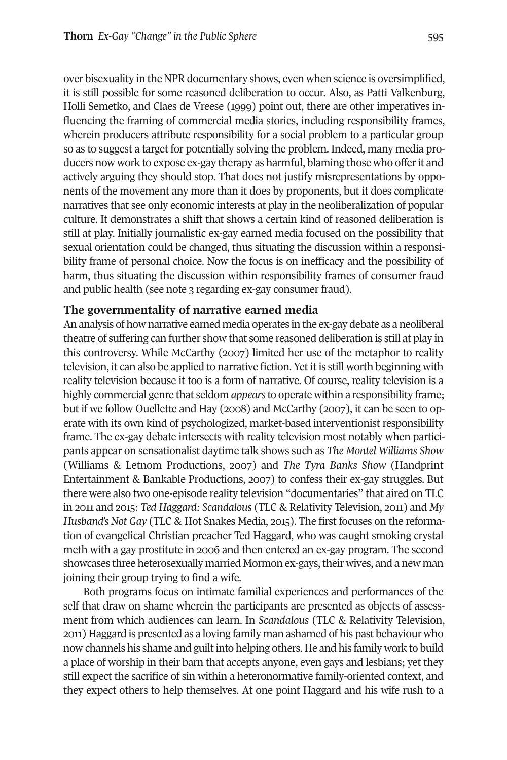over bisexuality in the NPR documentary shows, even when science is oversimplified, it is still possible for some reasoned deliberation to occur. Also, as Patti Valkenburg, Holli Semetko, and Claes de Vreese (1999) point out, there are other imperatives influencing the framing of commercial media stories, including responsibility frames, wherein producers attribute responsibility for a social problem to a particular group so as to suggest a target for potentially solving the problem. Indeed, many media producers now work to expose ex-gay therapy as harmful, blaming those who offerit and actively arguing they should stop. That does not justify misrepresentations by opponents of the movement any more than it does by proponents, but it does complicate narratives that see only economic interests at play in the neoliberalization of popular culture. It demonstrates a shift that shows a certain kind of reasoned deliberation is still at play. Initially journalistic ex-gay earned media focused on the possibility that sexual orientation could be changed, thus situating the discussion within a responsibility frame of personal choice. Now the focus is on inefficacy and the possibility of harm, thus situating the discussion within responsibility frames of consumer fraud and public health (see note 3 regarding ex-gay consumer fraud).

#### **The governmentality of narrative earned media**

An analysis of how narrative earned media operates in the ex-gay debate as a neoliberal theatre of suffering can further show that some reasoned deliberation is still at play in this controversy. While McCarthy (2007) limited her use of the metaphor to reality television, it can also be applied to narrative fiction. Yet it is still worth beginning with reality television because it too is a form of narrative. Of course, reality television is a highly commercial genre that seldom *appears*to operate within a responsibility frame; but if we follow Ouellette and Hay (2008) and McCarthy (2007), it can be seen to operate with its own kind of psychologized, market-based interventionist responsibility frame. The ex-gay debate intersects with reality television most notably when participants appear on sensationalist daytime talk shows such as *The Montel Williams Show* (Williams & Letnom Productions, 2007) and *The Tyra Banks Show* (Handprint Entertainment & Bankable Productions, 2007) to confess their ex-gay struggles. But there were also two one-episode reality television "documentaries" that aired on TLC in 2011 and 2015: *Ted Haggard: Scandalous* (TLC & Relativity Television, 2011) and *My Husband's Not Gay* (TLC & Hot Snakes Media, 2015). The first focuses on the reformation of evangelical Christian preacher Ted Haggard, who was caught smoking crystal meth with a gay prostitute in 2006 and then entered an ex-gay program. The second showcases three heterosexually married Mormon ex-gays, their wives, and a new man joining their group trying to find a wife.

Both programs focus on intimate familial experiences and performances of the self that draw on shame wherein the participants are presented as objects of assessment from which audiences can learn. In *Scandalous* (TLC & Relativity Television, 2011) Haggard is presented as a loving family man ashamed of his past behaviour who now channels his shame and guilt into helping others. He and his family work to build a place of worship in their barn that accepts anyone, even gays and lesbians; yet they still expect the sacrifice of sin within a heteronormative family-oriented context, and they expect others to help themselves. At one point Haggard and his wife rush to a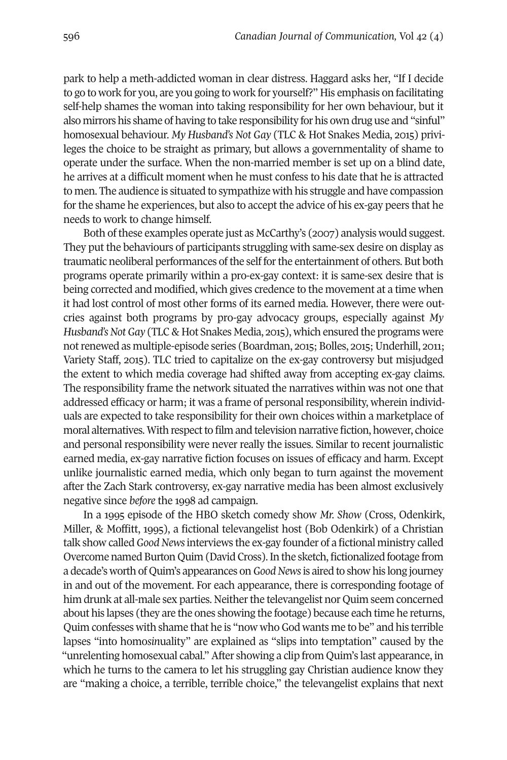park to help a meth-addicted woman in clear distress. Haggard asks her, "If I decide to go to work for you, are you going to work for yourself?" His emphasis on facilitating self-help shames the woman into taking responsibility for her own behaviour, but it also mirrors his shame of having to take responsibility for his own drug use and "sinful" homosexual behaviour. *My Husband's Not Gay* (TLC & Hot Snakes Media, 2015) privileges the choice to be straight as primary, but allows a governmentality of shame to operate under the surface. When the non-married member is set up on a blind date, he arrives at a difficult moment when he must confess to his date that he is attracted to men. The audience is situated to sympathize with his struggle and have compassion forthe shame he experiences, but also to accept the advice of his ex-gay peers that he needs to work to change himself.

Both of these examples operate just as McCarthy's (2007) analysis would suggest. They put the behaviours of participants struggling with same-sex desire on display as traumatic neoliberal performances ofthe self forthe entertainment of others. But both programs operate primarily within a pro-ex-gay context: it is same-sex desire that is being corrected and modified, which gives credence to the movement at a time when it had lost control of most other forms of its earned media. However, there were outcries against both programs by pro-gay advocacy groups, especially against *My Husband's Not Gay* (TLC & Hot Snakes Media, 2015), which ensured the programs were not renewed as multiple-episode series (Boardman, 2015; Bolles, 2015; Underhill, 2011; Variety Staff, 2015). TLC tried to capitalize on the ex-gay controversy but misjudged the extent to which media coverage had shifted away from accepting ex-gay claims. The responsibility frame the network situated the narratives within was not one that addressed efficacy or harm; it was a frame of personal responsibility, wherein individuals are expected to take responsibility for their own choices within a marketplace of moral alternatives. With respect to film and television narrative fiction, however, choice and personal responsibility were never really the issues. Similar to recent journalistic earned media, ex-gay narrative fiction focuses on issues of efficacy and harm. Except unlike journalistic earned media, which only began to turn against the movement after the Zach Stark controversy, ex-gay narrative media has been almost exclusively negative since *before* the 1998 ad campaign.

In a 1995 episode of the HBO sketch comedy show *Mr. Show* (Cross, Odenkirk, Miller, & Moffitt, 1995), a fictional televangelist host (Bob Odenkirk) of a Christian talk show called Good News interviews the ex-gay founder of a fictional ministry called Overcome named Burton Quim (David Cross). In the sketch, fictionalized footage from a decade's worth of Quim's appearances on*GoodNews*is aired to show his long journey in and out of the movement. For each appearance, there is corresponding footage of him drunk at all-male sex parties. Neither the televangelist nor Quim seem concerned about his lapses (they are the ones showing the footage) because each time he returns, Quim confesses with shame that he is "now whoGod wants me to be" and his terrible lapses "into homo*sin*uality" are explained as "slips into temptation" caused by the "unrelenting homosexual cabal."After showing a clip from Quim's last appearance, in which he turns to the camera to let his struggling gay Christian audience know they are "making a choice, a terrible, terrible choice," the televangelist explains that next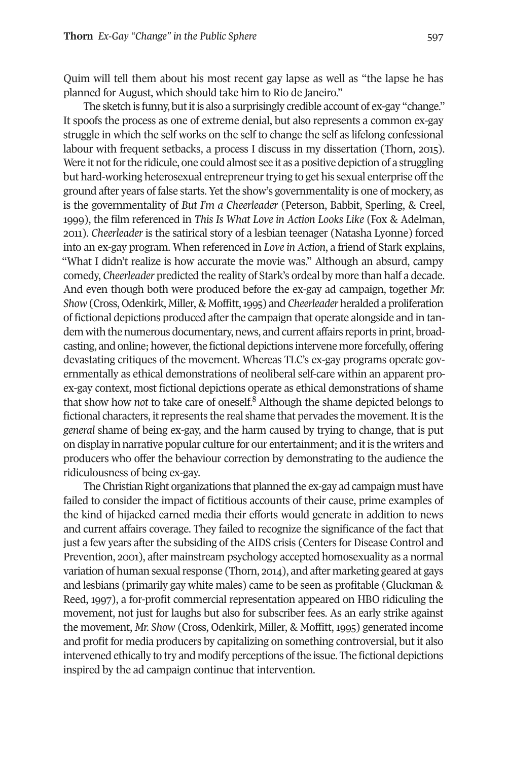Quim will tell them about his most recent gay lapse as well as "the lapse he has planned for August, which should take him to Rio de Janeiro."

The sketch is funny, but it is also a surprisingly credible account of ex-gay "change." It spoofs the process as one of extreme denial, but also represents a common ex-gay struggle in which the self works on the self to change the self as lifelong confessional labour with frequent setbacks, a process I discuss in my dissertation (Thorn, 2015). Were it not for the ridicule, one could almost see it as a positive depiction of a struggling but hard-working heterosexual entrepreneurtrying to get his sexual enterprise offthe ground after years of false starts. Yet the show's governmentality is one of mockery, as is the governmentality of *But I'm a Cheerleader* (Peterson, Babbit, Sperling, & Creel, 1999), the film referenced in *This Is What Love in Action Looks Like* (Fox & Adelman, 2011). *Cheerleader* is the satirical story of a lesbian teenager (Natasha Lyonne) forced into an ex-gay program. When referenced in *Love in Action*, a friend of Stark explains, "What I didn't realize is how accurate the movie was." Although an absurd, campy comedy, *Cheerleader* predicted the reality of Stark's ordeal by more than half a decade. And even though both were produced before the ex-gay ad campaign, together *Mr. Show* (Cross, Odenkirk, Miller, & Moffitt,1995) and *Cheerleader* heralded a proliferation of fictional depictions produced afterthe campaign that operate alongside and in tandem with the numerous documentary, news, and current affairs reports in print, broadcasting, and online; however, the fictional depictions intervene more forcefully, offering devastating critiques of the movement. Whereas TLC's ex-gay programs operate governmentally as ethical demonstrations of neoliberal self-care within an apparent proex-gay context, most fictional depictions operate as ethical demonstrations of shame that show how *not* to take care of oneself. [8](#page-17-2) Although the shame depicted belongs to fictional characters, it represents the real shame that pervades the movement. It is the *general* shame of being ex-gay, and the harm caused by trying to change, that is put on display in narrative popular culture for our entertainment; and itis the writers and producers who offer the behaviour correction by demonstrating to the audience the ridiculousness of being ex-gay.

The Christian Right organizations that planned the ex-gay ad campaign must have failed to consider the impact of fictitious accounts of their cause, prime examples of the kind of hijacked earned media their efforts would generate in addition to news and current affairs coverage. They failed to recognize the significance of the fact that just a few years after the subsiding of the AIDS crisis (Centers for Disease Control and Prevention, 2001), after mainstream psychology accepted homosexuality as a normal variation of human sexual response (Thorn, 2014), and after marketing geared at gays and lesbians (primarily gay white males) came to be seen as profitable (Gluckman & Reed, 1997), a for-profit commercial representation appeared on HBO ridiculing the movement, not just for laughs but also for subscriber fees. As an early strike against the movement, *Mr. Show* (Cross, Odenkirk, Miller, & Moffitt, 1995) generated income and profit for media producers by capitalizing on something controversial, but it also intervened ethically to try and modify perceptions of the issue. The fictional depictions inspired by the ad campaign continue that intervention.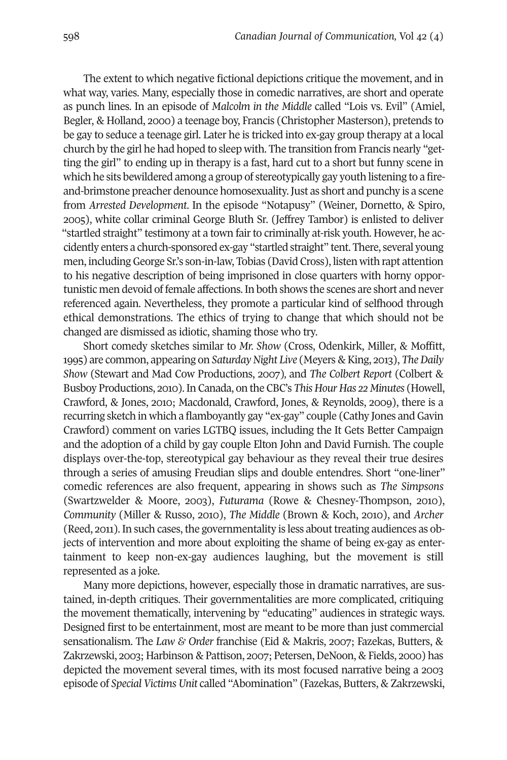The extent to which negative fictional depictions critique the movement, and in what way, varies. Many, especially those in comedic narratives, are short and operate as punch lines. In an episode of *Malcolm in the Middle* called "Lois vs. Evil" (Amiel, Begler, & Holland, 2000) a teenage boy, Francis (Christopher Masterson), pretends to be gay to seduce a teenage girl. Later he is tricked into ex-gay group therapy at a local church by the girl he had hoped to sleep with. The transition from Francis nearly "getting the girl" to ending up in therapy is a fast, hard cut to a short but funny scene in which he sits bewildered among a group of stereotypically gay youth listening to a fireand-brimstone preacher denounce homosexuality.Just as short and punchy is a scene from *Arrested Development*. In the episode "Notapusy" (Weiner, Dornetto, & Spiro, 2005), white collar criminal George Bluth Sr. (Jeffrey Tambor) is enlisted to deliver "startled straight" testimony at a town fair to criminally at-risk youth. However, he accidently enters a church-sponsored ex-gay "startled straight" tent. There, several young men, includingGeorge Sr.'s son-in-law, Tobias (David Cross), listen with rapt attention to his negative description of being imprisoned in close quarters with horny opportunistic men devoid of female affections.In both shows the scenes are short and never referenced again. Nevertheless, they promote a particular kind of selfhood through ethical demonstrations. The ethics of trying to change that which should not be changed are dismissed as idiotic, shaming those who try.

Short comedy sketches similar to *Mr. Show* (Cross, Odenkirk, Miller, & Moffitt, 1995) are common, appearing on *SaturdayNight Live* (Meyers & King, 2013), *TheDaily Show* (Stewart and Mad Cow Productions, 2007)*,* and *The Colbert Report* (Colbert & Busboy Productions, 2010).In Canada, on the CBC's *This Hour Has 22 Minutes* (Howell, Crawford, & Jones, 2010; Macdonald, Crawford, Jones, & Reynolds, 2009), there is a recurring sketch in which a flamboyantly gay "ex-gay" couple (Cathy Jones andGavin Crawford) comment on varies LGTBQ issues, including the It Gets Better Campaign and the adoption of a child by gay couple Elton John and David Furnish. The couple displays over-the-top, stereotypical gay behaviour as they reveal their true desires through a series of amusing Freudian slips and double entendres. Short "one-liner" comedic references are also frequent, appearing in shows such as *The Simpsons* (Swartzwelder & Moore, 2003), *Futurama* (Rowe & Chesney-Thompson, 2010), *Community* (Miller & Russo, 2010), *The Middle* (Brown & Koch, 2010), and *Archer* (Reed, 2011). In such cases, the governmentality is less about treating audiences as objects of intervention and more about exploiting the shame of being ex-gay as entertainment to keep non-ex-gay audiences laughing, but the movement is still represented as a joke.

Many more depictions, however, especially those in dramatic narratives, are sustained, in-depth critiques. Their governmentalities are more complicated, critiquing the movement thematically, intervening by "educating" audiences in strategic ways. Designed first to be entertainment, most are meant to be more than just commercial sensationalism. The *Law & Order* franchise (Eid & Makris, 2007; Fazekas, Butters, & Zakrzewski, 2003; Harbinson & Pattison, 2007; Petersen, DeNoon, & Fields, 2000) has depicted the movement several times, with its most focused narrative being a 2003 episode of *Special Victims Unit* called "Abomination" (Fazekas, Butters, & Zakrzewski,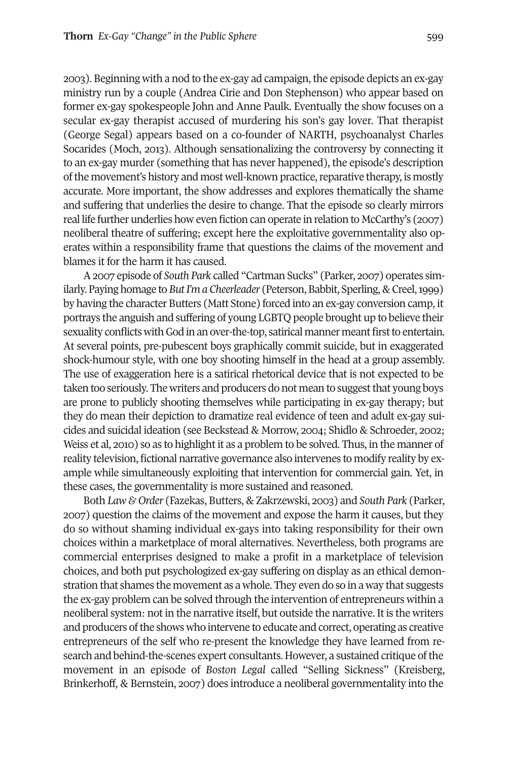2003). Beginning with a nod to the ex-gay ad campaign, the episode depicts an ex-gay ministry run by a couple (Andrea Cirie and Don Stephenson) who appear based on former ex-gay spokespeople John and Anne Paulk. Eventually the show focuses on a secular ex-gay therapist accused of murdering his son's gay lover. That therapist (George Segal) appears based on a co-founder of NARTH, psychoanalyst Charles Socarides (Moch, 2013). Although sensationalizing the controversy by connecting it to an ex-gay murder (something that has never happened), the episode's description of the movement's history and most well-known practice, reparative therapy, is mostly accurate. More important, the show addresses and explores thematically the shame and suffering that underlies the desire to change. That the episode so clearly mirrors real life further underlies how even fiction can operate in relation to McCarthy's (2007) neoliberal theatre of suffering; except here the exploitative governmentality also operates within a responsibility frame that questions the claims of the movement and blames it for the harm it has caused.

A2007 episode of *South Park* called "Cartman Sucks" (Parker, 2007) operates similarly. Paying homage to*ButI'm a Cheerleader* (Peterson,Babbit, Sperling,&Creel,1999) by having the character Butters (Matt Stone) forced into an ex-gay conversion camp, it portrays the anguish and suffering of young LGBTQ people brought up to believe their sexuality conflicts with God in an over-the-top, satirical manner meant first to entertain. At several points, pre-pubescent boys graphically commit suicide, but in exaggerated shock-humour style, with one boy shooting himself in the head at a group assembly. The use of exaggeration here is a satirical rhetorical device that is not expected to be taken too seriously. The writers and producers do not mean to suggestthat young boys are prone to publicly shooting themselves while participating in ex-gay therapy; but they do mean their depiction to dramatize real evidence of teen and adult ex-gay suicides and suicidal ideation (see Beckstead & Morrow, 2004; Shidlo & Schroeder, 2002; Weiss et al, 2010) so as to highlight it as a problem to be solved. Thus, in the manner of reality television, fictional narrative governance also intervenes to modify reality by example while simultaneously exploiting that intervention for commercial gain. Yet, in these cases, the governmentality is more sustained and reasoned.

Both *Law & Order* (Fazekas, Butters, & Zakrzewski, 2003) and *South Park* (Parker, 2007) question the claims of the movement and expose the harm it causes, but they do so without shaming individual ex-gays into taking responsibility for their own choices within a marketplace of moral alternatives. Nevertheless, both programs are commercial enterprises designed to make a profit in a marketplace of television choices, and both put psychologized ex-gay suffering on display as an ethical demonstration that shames the movement as a whole. They even do so in a way that suggests the ex-gay problem can be solved through the intervention of entrepreneurs within a neoliberal system: not in the narrative itself, but outside the narrative. It is the writers and producers ofthe shows who intervene to educate and correct, operating as creative entrepreneurs of the self who re-present the knowledge they have learned from research and behind-the-scenes expert consultants. However, a sustained critique ofthe movement in an episode of *Boston Legal* called "Selling Sickness" (Kreisberg, Brinkerhoff, & Bernstein, 2007) does introduce a neoliberal governmentality into the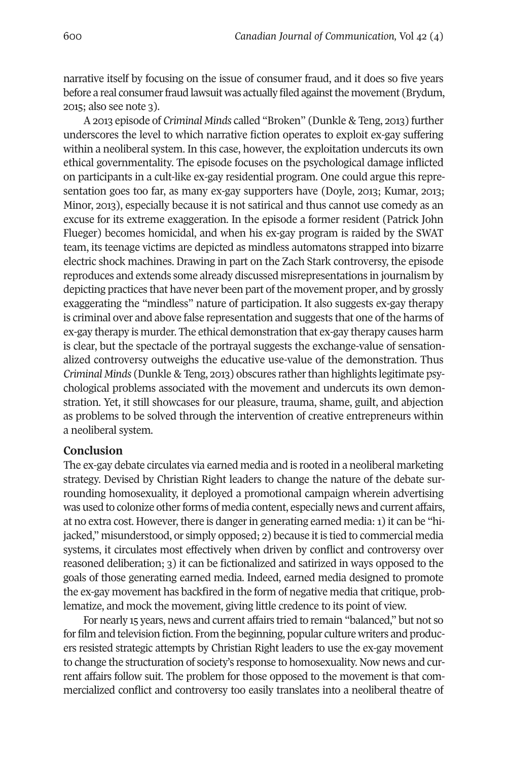narrative itself by focusing on the issue of consumer fraud, and it does so five years before a real consumer fraud lawsuit was actually filed against the movement (Brydum, 2015; also see note 3).

A 2013 episode of *Criminal Minds* called "Broken" (Dunkle & Teng, 2013) further underscores the level to which narrative fiction operates to exploit ex-gay suffering within a neoliberal system. In this case, however, the exploitation undercuts its own ethical governmentality. The episode focuses on the psychological damage inflicted on participants in a cult-like ex-gay residential program. One could argue this representation goes too far, as many ex-gay supporters have (Doyle, 2013; Kumar, 2013; Minor, 2013), especially because it is not satirical and thus cannot use comedy as an excuse for its extreme exaggeration. In the episode a former resident (Patrick John Flueger) becomes homicidal, and when his ex-gay program is raided by the SWAT team, its teenage victims are depicted as mindless automatons strapped into bizarre electric shock machines. Drawing in part on the Zach Stark controversy, the episode reproduces and extends some already discussed misrepresentations in journalism by depicting practices that have never been part of the movement proper, and by grossly exaggerating the "mindless" nature of participation. It also suggests ex-gay therapy is criminal over and above false representation and suggests that one of the harms of ex-gay therapy is murder. The ethical demonstration that ex-gay therapy causes harm is clear, but the spectacle of the portrayal suggests the exchange-value of sensationalized controversy outweighs the educative use-value of the demonstration. Thus *Criminal Minds* (Dunkle & Teng, 2013) obscures ratherthan highlights legitimate psychological problems associated with the movement and undercuts its own demonstration. Yet, it still showcases for our pleasure, trauma, shame, guilt, and abjection as problems to be solved through the intervention of creative entrepreneurs within a neoliberal system.

#### **Conclusion**

The ex-gay debate circulates via earned media and is rooted in a neoliberal marketing strategy. Devised by Christian Right leaders to change the nature of the debate surrounding homosexuality, it deployed a promotional campaign wherein advertising was used to colonize other forms of media content, especially news and current affairs, at no extra cost. However, there is dangerin generating earned media:1) it can be "hijacked," misunderstood, or simply opposed; 2) because itis tied to commercial media systems, it circulates most effectively when driven by conflict and controversy over reasoned deliberation; 3) it can be fictionalized and satirized in ways opposed to the goals of those generating earned media. Indeed, earned media designed to promote the ex-gay movement has backfired in the form of negative media that critique, problematize, and mock the movement, giving little credence to its point of view.

For nearly 15 years, news and current affairs tried to remain "balanced," but not so for film and television fiction. From the beginning, popular culture writers and producers resisted strategic attempts by Christian Right leaders to use the ex-gay movement to change the structuration of society's response to homosexuality. Now news and current affairs follow suit. The problem for those opposed to the movement is that commercialized conflict and controversy too easily translates into a neoliberal theatre of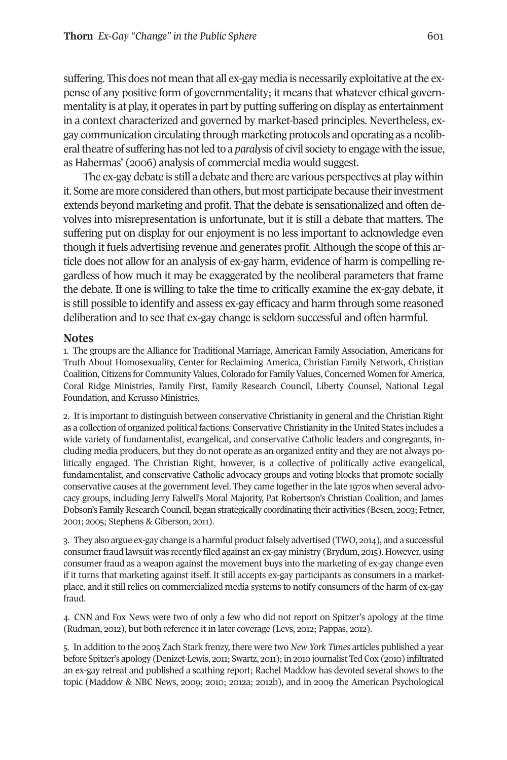suffering. This does not mean that all ex-gay media is necessarily exploitative at the expense of any positive form of governmentality; it means that whatever ethical governmentality is at play, it operates in part by putting suffering on display as entertainment in a context characterized and governed by market-based principles. Nevertheless, exgay communication circulating through marketing protocols and operating as a neoliberaltheatre of suffering has notled to a *paralysis* of civil society to engage with the issue, as Habermas' (2006) analysis of commercial media would suggest.

The ex-gay debate is still a debate and there are various perspectives at play within it. Some are more considered than others, but most participate because their investment extends beyond marketing and profit. That the debate is sensationalized and often devolves into misrepresentation is unfortunate, but it is still a debate that matters. The suffering put on display for our enjoyment is no less important to acknowledge even though it fuels advertising revenue and generates profit. Although the scope of this article does not allow for an analysis of ex-gay harm, evidence of harm is compelling regardless of how much it may be exaggerated by the neoliberal parameters that frame the debate. If one is willing to take the time to critically examine the ex-gay debate, it is still possible to identify and assess ex-gay efficacy and harm through some reasoned deliberation and to see that ex-gay change is seldom successful and often harmful.

#### <span id="page-16-0"></span>**Notes**

1. The groups are the Alliance for Traditional Marriage, American Family Association, Americans for Truth About Homosexuality, Center for Reclaiming America, Christian Family Network, Christian Coalition, Citizens for Community Values, Colorado for Family Values, Concerned Women for America, Coral Ridge Ministries, Family First, Family Research Council, Liberty Counsel, National Legal Foundation, and Kerusso Ministries.

<span id="page-16-1"></span>2. It is important to distinguish between conservative Christianity in general and the Christian Right as a collection of organized political factions. Conservative Christianity in the United States includes a wide variety of fundamentalist, evangelical, and conservative Catholic leaders and congregants, including media producers, but they do not operate as an organized entity and they are not always politically engaged. The Christian Right, however, is a collective of politically active evangelical, fundamentalist, and conservative Catholic advocacy groups and voting blocks that promote socially conservative causes at the government level. They came togetherin the late 1970s when several advocacy groups, including Jerry Falwell's Moral Majority, Pat Robertson's Christian Coalition, and James Dobson's Family Research Council, began strategically coordinating their activities (Besen, 2003; Fetner, 2001; 2005; Stephens & Giberson, 2011).

<span id="page-16-2"></span>3. They also argue ex-gay change is a harmful product falsely advertised (TWO, 2014), and a successful consumerfraud lawsuit was recently filed against an ex-gay ministry (Brydum, 2015). However, using consumer fraud as a weapon against the movement buys into the marketing of ex-gay change even if it turns that marketing against itself. It still accepts ex-gay participants as consumers in a marketplace, and it still relies on commercialized media systems to notify consumers of the harm of ex-gay fraud.

<span id="page-16-3"></span>4. CNN and Fox News were two of only a few who did not report on Spitzer's apology at the time (Rudman, 2012), but both reference it in later coverage (Levs, 2012; Pappas, 2012).

<span id="page-16-4"></span>5. In addition to the 2005 Zach Stark frenzy, there were two *New York Times* articles published a year before Spitzer's apology (Denizet-Lewis, 2011; Swartz, 2011);in 2010 journalist Ted Cox (2010) infiltrated an ex-gay retreat and published a scathing report; Rachel Maddow has devoted several shows to the topic (Maddow & NBC News, 2009; 2010; 2012a; 2012b), and in 2009 the American Psychological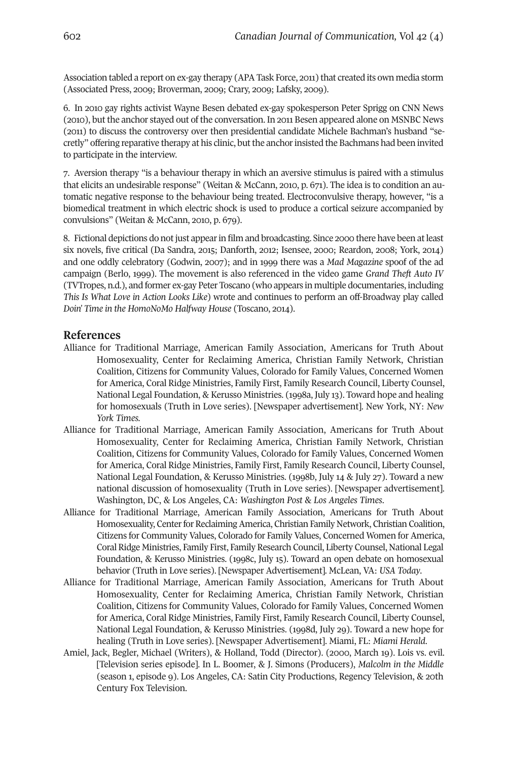<span id="page-17-0"></span>Association tabled a report on ex-gay therapy (APA Task Force, 2011) that created its own media storm (Associated Press, 2009; Broverman, 2009; Crary, 2009; Lafsky, 2009).

6. In 2010 gay rights activist Wayne Besen debated ex-gay spokesperson Peter Sprigg on CNN News (2010), but the anchor stayed out of the conversation. In 2011 Besen appeared alone on MSNBC News (2011) to discuss the controversy over then presidential candidate Michele Bachman's husband "secretly" offering reparative therapy at his clinic, butthe anchorinsisted the Bachmans had been invited to participate in the interview.

<span id="page-17-1"></span>7. Aversion therapy "is a behaviour therapy in which an aversive stimulus is paired with a stimulus that elicits an undesirable response" (Weitan & McCann, 2010, p. 671). The idea is to condition an automatic negative response to the behaviour being treated. Electroconvulsive therapy, however, "is a biomedical treatment in which electric shock is used to produce a cortical seizure accompanied by convulsions" (Weitan & McCann, 2010, p. 679).

<span id="page-17-2"></span>8. Fictional depictions do notjust appearin film and broadcasting. Since 2000 there have been atleast six novels, five critical (Da Sandra, 2015; Danforth, 2012; Isensee, 2000; Reardon, 2008; York, 2014) and one oddly celebratory (Godwin, 2007); and in 1999 there was a *Mad Magazine* spoof of the ad campaign (Berlo, 1999). The movement is also referenced in the video game *Grand Theft Auto IV* (TVTropes, n.d.), and former ex-gay Peter Toscano (who appears in multiple documentaries, including *This Is What Love in Action Looks Like*) wrote and continues to perform an off-Broadway play called *Doin' Time in the HomoNoMo Halfway House* (Toscano, 2014).

#### **References**

- Alliance for Traditional Marriage, American Family Association, Americans for Truth About Homosexuality, Center for Reclaiming America, Christian Family Network, Christian Coalition, Citizens for Community Values, Colorado for Family Values, Concerned Women for America, Coral Ridge Ministries, Family First, Family Research Council, Liberty Counsel, National Legal Foundation, & Kerusso Ministries. (1998a, July 13). Toward hope and healing for homosexuals (Truth in Love series). [Newspaper advertisement]. New York, NY: *New York Times.*
- Alliance for Traditional Marriage, American Family Association, Americans for Truth About Homosexuality, Center for Reclaiming America, Christian Family Network, Christian Coalition, Citizens for Community Values, Colorado for Family Values, Concerned Women for America, Coral Ridge Ministries, Family First, Family Research Council, Liberty Counsel, National Legal Foundation, & Kerusso Ministries. (1998b, July 14 & July 27). Toward a new national discussion of homosexuality (Truth in Love series). [Newspaper advertisement]. Washington, DC, & Los Angeles, CA: *Washington Post* & *Los Angeles Times*.
- Alliance for Traditional Marriage, American Family Association, Americans for Truth About Homosexuality, Center for Reclaiming America, Christian Family Network, Christian Coalition, Citizens for Community Values, Colorado for Family Values, Concerned Women for America, Coral Ridge Ministries, Family First, Family Research Council, Liberty Counsel, National Legal Foundation, & Kerusso Ministries. (1998c, July 15). Toward an open debate on homosexual behavior (Truth in Love series). [Newspaper Advertisement]. McLean, VA: *USA Today*.
- Alliance for Traditional Marriage, American Family Association, Americans for Truth About Homosexuality, Center for Reclaiming America, Christian Family Network, Christian Coalition, Citizens for Community Values, Colorado for Family Values, Concerned Women for America, Coral Ridge Ministries, Family First, Family Research Council, Liberty Counsel, National Legal Foundation, & Kerusso Ministries. (1998d, July 29). Toward a new hope for healing (Truth in Love series). [Newspaper Advertisement]. Miami, FL: *Miami Herald*.
- Amiel, Jack, Begler, Michael (Writers), & Holland, Todd (Director). (2000, March 19). Lois vs. evil. [Television series episode]. In L. Boomer, & J. Simons (Producers), *Malcolm in the Middle* (season 1, episode 9). Los Angeles, CA: Satin City Productions, Regency Television, & 20th Century Fox Television.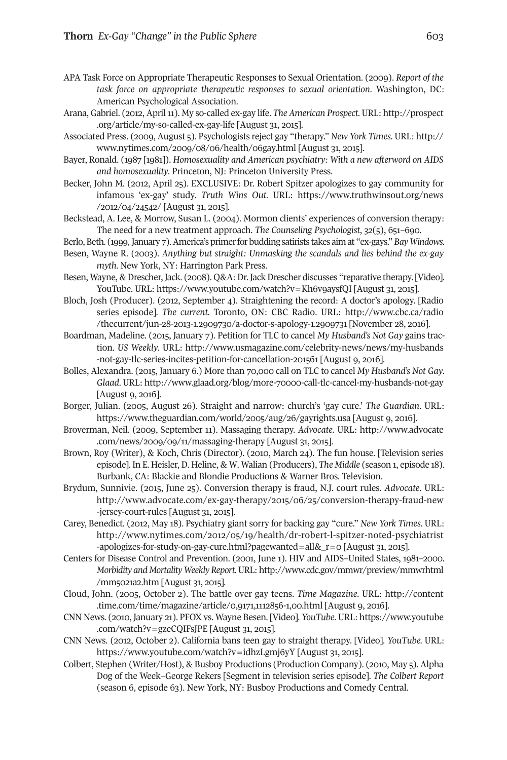- APA Task Force on Appropriate Therapeutic Responses to Sexual Orientation. (2009). *Report of the task force on appropriate therapeutic responses to sexual orientation*. Washington, DC: American Psychological Association.
- Arana, Gabriel. (2012, April11). My so-called ex-gay life. *The American Prospect*. URL: [http://prospect](http://prospect.org/article/my-so-called-ex-gay-life) [.org/article/my-so-called-ex-gay-life](http://prospect.org/article/my-so-called-ex-gay-life) [August 31, 2015].
- Associated Press. (2009, August 5). Psychologists reject gay "therapy." *New York Times*. URL: [http://](http://www.nytimes.com/2009/08/06/health/06gay.html) [www.nytimes.com/2009/08/06/health/06gay.html](http://www.nytimes.com/2009/08/06/health/06gay.html) [August 31, 2015].
- Bayer, Ronald. (1987 [1981]). *Homosexuality and American psychiatry: With a new afterword on AIDS and homosexuality*. Princeton, NJ: Princeton University Press.
- Becker, John M. (2012, April 25). EXCLUSIVE: Dr. Robert Spitzer apologizes to gay community for infamous 'ex-gay' study. *Truth Wins Out.* URL: [https://www.truthwinsout.org/news](https://www.truthwinsout.org/news/2012/04/24542/) [/2012/04/24542/](https://www.truthwinsout.org/news/2012/04/24542/) [August 31, 2015].
- Beckstead, A. Lee, & Morrow, Susan L. (2004). Mormon clients' experiences of conversion therapy: The need for a new treatment approach. *The Counseling Psychologist*, *32*(5), 651–690.
- Berlo, Beth. (1999, January 7). America's primer for budding satirists takes aim at "ex-gays." Bay Windows.
- Besen, Wayne R. (2003). *Anything but straight: Unmasking the scandals and lies behind the ex-gay myth.* New York, NY: Harrington Park Press.
- Besen, Wayne, & Drescher,Jack. (2008). Q&A:Dr.JackDrescher discusses "reparative therapy. [Video]. YouTube. URL: <https://www.youtube.com/watch?v=Kh6v9aysfQI> [August 31, 2015].
- Bloch, Josh (Producer). (2012, September 4). Straightening the record: A doctor's apology. [Radio series episode]*. The current.* Toronto, ON: CBC Radio. URL: [http://www.cbc.ca/radio](http://www.cbc.ca/radio/thecurrent/jun-28-2013-1.2909730/a-doctor-s-apology-1.2909731) [/thecurrent/jun-28-2013-1.2909730/a-doctor-s-apology-1.2909731](http://www.cbc.ca/radio/thecurrent/jun-28-2013-1.2909730/a-doctor-s-apology-1.2909731) [November 28, 2016].
- Boardman, Madeline. (2015, January 7). Petition for TLC to cancel *My Husband's Not Gay* gains traction. *US Weekly*. URL: [http://www.usmagazine.com/celebrity-news/news/my-husbands](http://www.usmagazine.com/celebrity-news/news/my-husbands-not-gay-tlc-series-incites-petition-for-cancellation-201561) [-not-gay-tlc-series-incites-petition-for-cancellation-201561](http://www.usmagazine.com/celebrity-news/news/my-husbands-not-gay-tlc-series-incites-petition-for-cancellation-201561) [August 9, 2016].
- Bolles, Alexandra. (2015, January 6.) More than 70,000 call on TLC to cancel *My Husband's Not Gay*. *Glaad*. URL: <http://www.glaad.org/blog/more-70000-call-tlc-cancel-my-husbands-not-gay> [August 9, 2016].
- Borger, Julian. (2005, August 26). Straight and narrow: church's 'gay cure.' *The Guardian*. URL: <https://www.theguardian.com/world/2005/aug/26/gayrights.usa> [August 9, 2016].
- Broverman, Neil. (2009, September 11). Massaging therapy. *Advocate*. URL: [http://www.advocate](http://www.advocate.com/news/2009/09/11/massaging-therapy) [.com/news/2009/09/11/massaging-therapy](http://www.advocate.com/news/2009/09/11/massaging-therapy) [August 31, 2015].
- Brown, Roy (Writer), & Koch, Chris (Director). (2010, March 24). The fun house. [Television series episode]. In E. Heisler, D. Heline, & W. Walian (Producers), *The Middle* (season 1, episode 18). Burbank, CA: Blackie and Blondie Productions & Warner Bros. Television.
- Brydum, Sunnivie. (2015, June 25). Conversion therapy is fraud, N.J. court rules. *Advocate*. URL: [http://www.advocate.com/ex-gay-therapy/2015/06/25/conversion-therapy-fraud-new](http://www.advocate.com/ex-gay-therapy/2015/06/25/conversion-therapy-fraud-new-jersey-court-rules) [-jersey-court-rules](http://www.advocate.com/ex-gay-therapy/2015/06/25/conversion-therapy-fraud-new-jersey-court-rules) [August 31, 2015].
- Carey, Benedict. (2012, May 18). Psychiatry giant sorry for backing gay "cure." *New York Times*. URL: [http://www.nytimes.com/2012/05/19/health/dr-robert-l-spitzer-noted-psychiatrist](http://www.nytimes.com/2012/05/19/health/dr-robert-l-spitzer-noted-psychiatrist-apologizes-for-study-on-gay-cure.html?pagewanted=all&_r=0) [-apologizes-for-study-on-gay-cure.html?pagewanted=all&\\_r=0](http://www.nytimes.com/2012/05/19/health/dr-robert-l-spitzer-noted-psychiatrist-apologizes-for-study-on-gay-cure.html?pagewanted=all&_r=0) [August 31, 2015].
- Centers for Disease Control and Prevention. (2001, June 1). HIV and AIDS–United States, 1981–2000. *Morbidity and Mortality WeeklyReport*.URL: [http://www.cdc.gov/mmwr/preview/mmwrhtml](http://www.cdc.gov/mmwr/preview/mmwrhtml/mm5021a2.htm) [/mm5021a2.htm](http://www.cdc.gov/mmwr/preview/mmwrhtml/mm5021a2.htm) [August 31, 2015].
- Cloud, John. (2005, October 2). The battle over gay teens. *Time Magazine*. URL: [http://content](http://content.time.com/time/magazine/article/0,9171,1112856-1,00.html) [.time.com/time/magazine/article/0,9171,1112856-1,00.html](http://content.time.com/time/magazine/article/0,9171,1112856-1,00.html) [August 9, 2016].
- CNN News*.* (2010, January 21). PFOX vs. Wayne Besen. [Video]. *YouTube*. URL: [https://www.youtube](https://www.youtube.com/watch?v=gzeCQIFsJPE) [.com/watch?v=gzeCQIFsJPE](https://www.youtube.com/watch?v=gzeCQIFsJPE) [August 31, 2015].
- CNN News. (2012, October 2). California bans teen gay to straight therapy. [Video]. *YouTube.* URL: <https://www.youtube.com/watch?v=idhzLgmj6yY> [August 31, 2015].
- Colbert, Stephen (Writer/Host), & Busboy Productions (Production Company). (2010, May 5). Alpha Dog of the Week–George Rekers [Segment in television series episode]. *The Colbert Report* (season 6, episode 63). New York, NY: Busboy Productions and Comedy Central.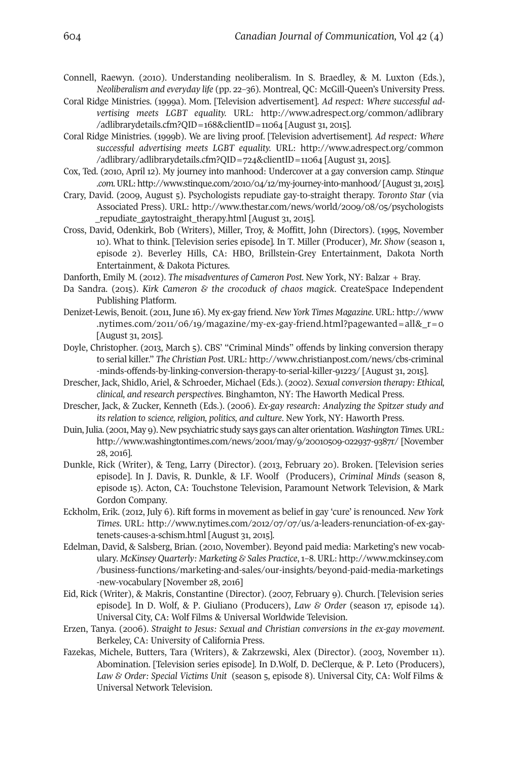- Connell, Raewyn. (2010). Understanding neoliberalism. In S. Braedley, & M. Luxton (Eds.), *Neoliberalism and everyday life* (pp. 22–36)*.* Montreal, QC: McGill-Queen's University Press.
- Coral Ridge Ministries. (1999a). Mom. [Television advertisement]. *Ad respect: Where successful advertising meets LGBT equality.* URL: [http://www.adrespect.org/common/adlibrary](http://www.adrespect.org/common/adlibrary/adlibrarydetails.cfm?QID=168&clientID=11064) [/adlibrarydetails.cfm?QID=168&clientID=11064](http://www.adrespect.org/common/adlibrary/adlibrarydetails.cfm?QID=168&clientID=11064) [August 31, 2015].
- Coral Ridge Ministries. (1999b). We are living proof. [Television advertisement]. *Ad respect: Where successful advertising meets LGBT equality.* URL: [http://www.adrespect.org/common](http://www.adrespect.org/common/adlibrary/adlibrarydetails.cfm?QID=724&clientID=11064) [/adlibrary/adlibrarydetails.cfm?QID=724&clientID=11064](http://www.adrespect.org/common/adlibrary/adlibrarydetails.cfm?QID=724&clientID=11064) [August 31, 2015].
- Cox, Ted. (2010, April 12). My journey into manhood: Undercover at a gay conversion camp. *Stinque .com*.URL:[http://www.stinque.com/2010/04/12/my-journey-into-manhood/](http://www.stinque.com/2010/04/12/my-journey-into-manhood/ ) [August 31, 2015].
- Crary, David. (2009, August 5). Psychologists repudiate gay-to-straight therapy. *Toronto Star* (via Associated Press). URL: [http://www.thestar.com/news/world/2009/08/05/psychologists](http://www.thestar.com/news/world/2009/08/05/psychologists_repudiate_gaytostraight_therapy.html) [\\_repudiate\\_gaytostraight\\_therapy.html](http://www.thestar.com/news/world/2009/08/05/psychologists_repudiate_gaytostraight_therapy.html) [August 31, 2015].
- Cross, David, Odenkirk, Bob (Writers), Miller, Troy, & Moffitt, John (Directors). (1995, November 10). What to think. [Television series episode]*.* In T. Miller (Producer), *Mr. Show* (season 1, episode 2). Beverley Hills, CA: HBO, Brillstein-Grey Entertainment, Dakota North Entertainment, & Dakota Pictures.
- Danforth, Emily M. (2012). *The misadventures of Cameron Post.* New York, NY: Balzar + Bray.
- Da Sandra. (2015). *Kirk Cameron & the crocoduck of chaos magick*. CreateSpace Independent Publishing Platform.
- Denizet-Lewis, Benoit. (2011, June 16). My ex-gay friend.*New York Times Magazine*. URL: [http://www](http://www.nytimes.com/2011/06/19/magazine/my-ex-gay-friend.html?pagewanted=all&_r=0) [.nytimes.com/2011/06/19/magazine/my-ex-gay-friend.html?pagewanted=all&\\_r=0](http://www.nytimes.com/2011/06/19/magazine/my-ex-gay-friend.html?pagewanted=all&_r=0) [August 31, 2015].
- Doyle, Christopher. (2013, March 5). CBS' "Criminal Minds" offends by linking conversion therapy to serial killer." *The Christian Post*. URL: [http://www.christianpost.com/news/cbs-criminal](http://www.christianpost.com/news/cbs-criminal-minds-offends-by-linking-conversion-therapy-to-serial-killer-91223/) [-minds-offends-by-linking-conversion-therapy-to-serial-killer-91223/](http://www.christianpost.com/news/cbs-criminal-minds-offends-by-linking-conversion-therapy-to-serial-killer-91223/) [August 31, 2015].
- Drescher, Jack, Shidlo, Ariel, & Schroeder, Michael (Eds.). (2002). *Sexual conversion therapy: Ethical, clinical, and research perspectives*. Binghamton, NY: The Haworth Medical Press.
- Drescher, Jack, & Zucker, Kenneth (Eds.). (2006). *Ex-gay research: Analyzing the Spitzer study and its relation to science, religion, politics, and culture*. New York, NY: Haworth Press.
- Duin,Julia. (2001, May 9). New psychiatric study says gays can alter orientation. *Washington Times.*URL: [http://www.washingtontimes.com/news/2001/may/9/20010509-022937-9387r/](http://www.washingtontimes.com/news/2001/may/9/20010509-022937-9387r/ ) [November 28, 2016].
- Dunkle, Rick (Writer), & Teng, Larry (Director). (2013, February 20). Broken. [Television series episode]. In J. Davis, R. Dunkle, & I.F. Woolf (Producers), *Criminal Minds* (season 8, episode 15). Acton, CA: Touchstone Television, Paramount Network Television, & Mark Gordon Company.
- Eckholm, Erik. (2012, July 6). Rift forms in movement as belief in gay 'cure' is renounced. *New York Times*. URL: [http://www.nytimes.com/2012/07/07/us/a-leaders-renunciation-of-ex-gay](http://www.nytimes.com/2012/07/07/us/a-leaders-renunciation-of-ex-gay-tenets-causes-a-schism.html)[tenets-causes-a-schism.html](http://www.nytimes.com/2012/07/07/us/a-leaders-renunciation-of-ex-gay-tenets-causes-a-schism.html) [August 31, 2015].
- Edelman, David, & Salsberg, Brian. (2010, November). Beyond paid media: Marketing's new vocabulary. *McKinsey Quarterly: Marketing & Sales Practice*,1–8. URL: [http://www.mckinsey.com](http://www.mckinsey.com/business-functions/marketing-and-sales/our-insights/beyond-paid-media-marketings-new-vocabulary) [/business-functions/marketing-and-sales/our-insights/beyond-paid-media-marketings](http://www.mckinsey.com/business-functions/marketing-and-sales/our-insights/beyond-paid-media-marketings-new-vocabulary) [-new-vocabulary](http://www.mckinsey.com/business-functions/marketing-and-sales/our-insights/beyond-paid-media-marketings-new-vocabulary) [November 28, 2016]
- Eid, Rick (Writer), & Makris, Constantine (Director). (2007, February 9). Church. [Television series episode]*.* In D. Wolf, & P. Giuliano (Producers), *Law & Order* (season 17, episode 14). Universal City, CA: Wolf Films & Universal Worldwide Television.
- Erzen, Tanya. (2006). *Straight to Jesus: Sexual and Christian conversions in the ex-gay movement.* Berkeley, CA: University of California Press.
- Fazekas, Michele, Butters, Tara (Writers), & Zakrzewski, Alex (Director). (2003, November 11). Abomination. [Television series episode]. In D.Wolf, D. DeClerque, & P. Leto (Producers), *Law & Order: Special Victims Unit* (season 5, episode 8). Universal City, CA: Wolf Films & Universal Network Television.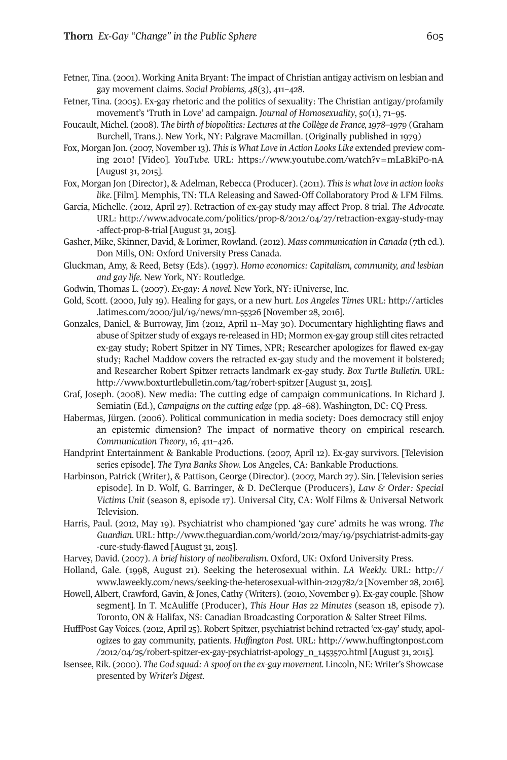- Fetner, Tina. (2001). Working Anita Bryant: The impact of Christian antigay activism on lesbian and gay movement claims. *Social Problems, 48*(3), 411–428.
- Fetner, Tina. (2005). Ex-gay rhetoric and the politics of sexuality: The Christian antigay/profamily movement's 'Truth in Love' ad campaign. *Journal of Homosexuality*, *50*(1), 71–95.
- Foucault, Michel. (2008). *The birth of biopolitics: Lectures at the Collège de France,1978–1979* (Graham Burchell, Trans.). New York, NY: Palgrave Macmillan. (Originally published in 1979)
- Fox, Morgan Jon. (2007, November13). *Thisis What Love in Action Looks Like* extended preview coming 2010! [Video]. *YouTube.* URL: [https://www.youtube.com/watch?v=mLaBkiP0-nA](https://www.youtube.com/watch?v=mLaBkiP0-nA ) [August 31, 2015].
- Fox, Morgan Jon (Director), & Adelman, Rebecca (Producer). (2011). *Thisis what love in action looks like*. [Film]. Memphis, TN: TLA Releasing and Sawed-Off Collaboratory Prod & LFM Films.
- Garcia, Michelle. (2012, April 27). Retraction of ex-gay study may affect Prop. 8 trial. *The Advocate.* [URL:](https://www.youtube.com/watch?v=mLaBkiP0-nA ) [http://www.advocate.com/politics/prop-8/2012/04/27/retraction-exgay-study-may](http://www.advocate.com/politics/prop-8/2012/04/27/retraction-exgay-study-may-affect-prop-8-trial) [-affect-prop-8-trial](http://www.advocate.com/politics/prop-8/2012/04/27/retraction-exgay-study-may-affect-prop-8-trial) [August 31, 2015].
- Gasher, Mike, Skinner, David, & Lorimer, Rowland. (2012). *Mass communication in Canada* (7th ed.). Don Mills, ON: Oxford University Press Canada.
- Gluckman, Amy, & Reed, Betsy (Eds). (1997). *Homo economics: Capitalism, community, and lesbian and gay life*. New York, NY: Routledge.
- Godwin, Thomas L. (2007). *Ex-gay: A novel.* New York, NY: iUniverse, Inc.
- Gold, Scott. (2000, July 19). Healing for gays, or a new hurt. *Los Angeles Times* URL: [http://articles](http://articles.latimes.com/2000/jul/19/news/mn-55326) [.latimes.com/2000/jul/19/news/mn-55326](http://articles.latimes.com/2000/jul/19/news/mn-55326) [November 28, 2016].
- Gonzales, Daniel, & Burroway, Jim (2012, April 11–May 30). Documentary highlighting flaws and abuse of Spitzer study of exgays re-released in HD; Mormon ex-gay group still cites retracted ex-gay study; Robert Spitzer in NY Times, NPR; Researcher apologizes for flawed ex-gay study; Rachel Maddow covers the retracted ex-gay study and the movement it bolstered; and Researcher Robert Spitzer retracts landmark ex-gay study. *Box Turtle Bulletin.* URL: <http://www.boxturtlebulletin.com/tag/robert-spitzer> [August 31, 2015].
- Graf, Joseph. (2008). New media: The cutting edge of campaign communications. In Richard J. Semiatin (Ed.), *Campaigns on the cutting edge* (pp. 48–68). Washington, DC: CQ Press.
- Habermas, Jürgen. (2006). Political communication in media society: Does democracy still enjoy an epistemic dimension? The impact of normative theory on empirical research. *Communication Theory*, *16*, 411–426.
- Handprint Entertainment & Bankable Productions. (2007, April 12). Ex-gay survivors. [Television series episode]. *The Tyra Banks Show.* Los Angeles, CA: Bankable Productions.
- Harbinson, Patrick (Writer), & Pattison, George (Director). (2007, March 27). Sin. [Television series episode]. In D. Wolf, G. Barringer, & D. DeClerque (Producers), *Law & Order: Special Victims Unit* (season 8, episode 17). Universal City, CA: Wolf Films & Universal Network Television.
- Harris, Paul. (2012, May 19). Psychiatrist who championed 'gay cure' admits he was wrong. *The Guardian*. URL: [http://www.theguardian.com/world/2012/may/19/psychiatrist-admits-gay](http://www.theguardian.com/world/2012/may/19/psychiatrist-admits-gay-cure-study-flawed) [-cure-study-flawed](http://www.theguardian.com/world/2012/may/19/psychiatrist-admits-gay-cure-study-flawed) [August 31, 2015].
- Harvey, David. (2007). *A brief history of neoliberalism.* Oxford, UK: Oxford University Press.
- Holland, Gale. (1998, August 21). Seeking the heterosexual within. *LA Weekly.* URL: [http://](http://www.laweekly.com/news/seeking-the-heterosexual-within-2129782/2) [www.laweekly.com/news/seeking-the-heterosexual-within-2129782/2](http://www.laweekly.com/news/seeking-the-heterosexual-within-2129782/2) [November 28, 2016].
- Howell, Albert, Crawford, Gavin, & Jones, Cathy (Writers). (2010, November 9). Ex-gay couple. [Show segment]. In T. McAuliffe (Producer), *This Hour Has 22 Minutes* (season 18, episode 7). Toronto, ON & Halifax, NS: Canadian Broadcasting Corporation & Salter Street Films.
- HuffPost Gay Voices. (2012, April 25). Robert Spitzer, psychiatrist behind retracted 'ex-gay' study, apologizes to gay community, patients. *Huffington Post*. URL: [http://www.huffingtonpost.com](http://www.huffingtonpost.com/2012/04/25/robert-spitzer-ex-gay-psychiatrist-apology_n_1453570.html) [/2012/04/25/robert-spitzer-ex-gay-psychiatrist-apology\\_n\\_1453570.html](http://www.huffingtonpost.com/2012/04/25/robert-spitzer-ex-gay-psychiatrist-apology_n_1453570.html) [August 31, 2015].
- Isensee, Rik. (2000). *The God squad: A spoof on the ex-gay movement.* Lincoln, NE: Writer's Showcase presented by *Writer's Digest.*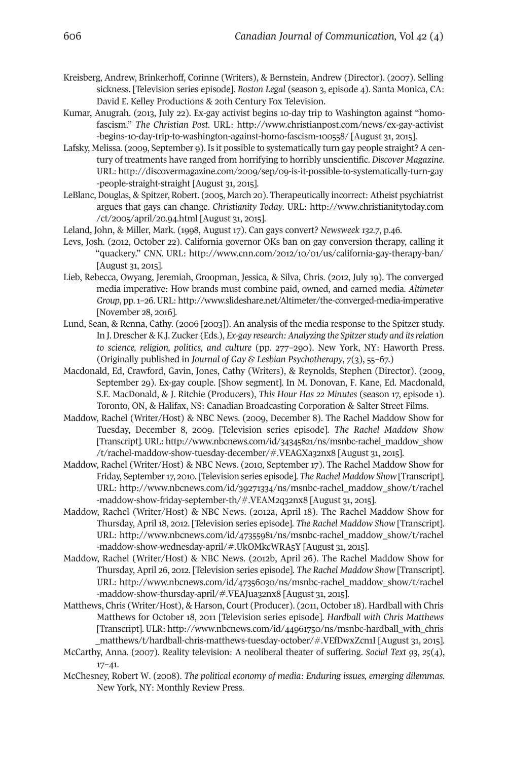- Kreisberg, Andrew, Brinkerhoff, Corinne (Writers), & Bernstein, Andrew (Director). (2007). Selling sickness. [Television series episode]. *Boston Legal* (season 3, episode 4). Santa Monica, CA: David E. Kelley Productions & 20th Century Fox Television.
- Kumar, Anugrah. (2013, July 22). Ex-gay activist begins 10-day trip to Washington against "homofascism." *The Christian Post*. URL: [http://www.christianpost.com/news/ex-gay-activist](http://www.christianpost.com/news/ex-gay-activist-begins-10-day-trip-to-washington-against-homo-fascism-100558/) [-begins-10-day-trip-to-washington-against-homo-fascism-100558/](http://www.christianpost.com/news/ex-gay-activist-begins-10-day-trip-to-washington-against-homo-fascism-100558/) [August 31, 2015].
- Lafsky, Melissa. (2009, September 9). Is it possible to systematically turn gay people straight? A century of treatments have ranged from horrifying to horribly unscientific. *Discover Magazine*. URL: [http://discovermagazine.com/2009/sep/09-is-it-possible-to-systematically-turn-gay](http://discovermagazine.com/2009/sep/09-is-it-possible-to-systematically-turn-gay-people-straight-straight) [-people-straight-straight](http://discovermagazine.com/2009/sep/09-is-it-possible-to-systematically-turn-gay-people-straight-straight) [August 31, 2015].
- LeBlanc, Douglas, & Spitzer, Robert. (2005, March 20). Therapeutically incorrect: Atheist psychiatrist argues that gays can change. *Christianity Today*. URL: [http://www.christianitytoday.com](http://www.christianitytoday.com/ct/2005/april/20.94.html) [/ct/2005/april/20.94.html](http://www.christianitytoday.com/ct/2005/april/20.94.html) [August 31, 2015].
- Leland, John, & Miller, Mark. (1998, August 17). Can gays convert? *Newsweek 132.7*, p.46.
- Levs, Josh. (2012, October 22). California governor OKs ban on gay conversion therapy, calling it "quackery." *CNN.* URL: [http://www.cnn.com/2012/10/01/us/california-gay-therapy-ban/](http://www.cnn.com/2012/10/01/us/california-gay-therapy-ban) [August 31, 2015].
- Lieb, Rebecca, Owyang, Jeremiah, Groopman, Jessica, & Silva, Chris. (2012, July 19). The converged media imperative: How brands must combine paid, owned, and earned media. *Altimeter Group*, pp.1–26.URL: <http://www.slideshare.net/Altimeter/the-converged-media-imperative> [November 28, 2016].
- Lund, Sean, & Renna, Cathy. (2006 [2003]). An analysis of the media response to the Spitzer study. In J. Drescher & K.J. Zucker (Eds.), *Ex-*g*ay research: Analyzing the Spitzerstudy and itsrelation to science, religion, politics, and culture* (pp. 277–290). New York, NY: Haworth Press. (Originally published in *Journal of Gay & Lesbian Psychotherapy*, *7*(3), 55–67.)
- Macdonald, Ed, Crawford, Gavin, Jones, Cathy (Writers), & Reynolds, Stephen (Director). (2009, September 29). Ex-gay couple. [Show segment]. In M. Donovan, F. Kane, Ed. Macdonald, S.E. MacDonald, & J. Ritchie (Producers), *This Hour Has 22 Minutes* (season 17, episode 1). Toronto, ON, & Halifax, NS: Canadian Broadcasting Corporation & Salter Street Films.
- Maddow, Rachel (Writer/Host) & NBC News. (2009, December 8). The Rachel Maddow Show for Tuesday, December 8, 2009. [Television series episode]. *The Rachel Maddow Show* [Transcript].URL: [http://www.nbcnews.com/id/34345821/ns/msnbc-rachel\\_maddow\\_show](http://www.nbcnews.com/id/34345821/ns/msnbc-rachel_maddow_show/t/rachel-maddow-show-tuesday-december/#.VEAGXa32nx8) [/t/rachel-maddow-show-tuesday-december/#.VEAGXa32nx8](http://www.nbcnews.com/id/34345821/ns/msnbc-rachel_maddow_show/t/rachel-maddow-show-tuesday-december/#.VEAGXa32nx8) [August 31, 2015].
- Maddow, Rachel (Writer/Host) & NBC News. (2010, September 17). The Rachel Maddow Show for Friday, September17, 2010. [Television series episode]. *The Rachel Maddow Show* [Transcript]. URL: [http://www.nbcnews.com/id/39271334/ns/msnbc-rachel\\_maddow\\_show/t/rachel](http://www.nbcnews.com/id/39271334/ns/msnbc-rachel_maddow_show/t/rachel-maddow-show-friday-september-th/#.VEAM2q32nx8) [-maddow-show-friday-september-th/#.VEAM2q32nx8](http://www.nbcnews.com/id/39271334/ns/msnbc-rachel_maddow_show/t/rachel-maddow-show-friday-september-th/#.VEAM2q32nx8) [August 31, 2015].
- Maddow, Rachel (Writer/Host) & NBC News. (2012a, April 18). The Rachel Maddow Show for Thursday, April 18, 2012. [Television series episode]. *The Rachel Maddow Show* [Transcript]. URL: [http://www.nbcnews.com/id/47355981/ns/msnbc-rachel\\_maddow\\_show/t/rachel](http://www.nbcnews.com/id/47355981/ns/msnbc-rachel_maddow_show/t/rachel-maddow-show-wednesday-april/#.UkOMkcWRA5Y) [-maddow-show-wednesday-april/#.UkOMkcWRA5Y](http://www.nbcnews.com/id/47355981/ns/msnbc-rachel_maddow_show/t/rachel-maddow-show-wednesday-april/#.UkOMkcWRA5Y) [August 31, 2015].
- Maddow, Rachel (Writer/Host) & NBC News. (2012b, April 26). The Rachel Maddow Show for Thursday, April 26, 2012. [Television series episode]. *The Rachel Maddow Show* [Transcript]. URL: [http://www.nbcnews.com/id/47356030/ns/msnbc-rachel\\_maddow\\_show/t/rachel](http://www.nbcnews.com/id/47356030/ns/msnbc-rachel_maddow_show/t/rachel-maddow-show-thursday-april/#.VEAJua32nx8) [-maddow-show-thursday-april/#.VEAJua32nx8](http://www.nbcnews.com/id/47356030/ns/msnbc-rachel_maddow_show/t/rachel-maddow-show-thursday-april/#.VEAJua32nx8) [August 31, 2015].
- Matthews, Chris (Writer/Host), & Harson, Court (Producer). (2011, October18). Hardball with Chris Matthews for October 18, 2011 [Television series episode]. *Hardball with Chris Matthews* [Transcript]. ULR: [http://www.nbcnews.com/id/44961750/ns/msnbc-hardball\\_with\\_chris](http://www.nbcnews.com/id/44961750/ns/msnbc-hardball_with_chris_matthews/t/hardball-chris-matthews-tuesday-october/#.VEfDwxZcn1I) [\\_matthews/t/hardball-chris-matthews-tuesday-october/#.VEfDwxZcn1I](http://www.nbcnews.com/id/44961750/ns/msnbc-hardball_with_chris_matthews/t/hardball-chris-matthews-tuesday-october/#.VEfDwxZcn1I) [August 31, 2015].
- McCarthy, Anna. (2007). Reality television: A neoliberal theater of suffering. *Social Text 93*, *25*(4), 17–41.
- McChesney, Robert W. (2008). *The political economy of media: Enduring issues, emerging dilemmas*. New York, NY: Monthly Review Press.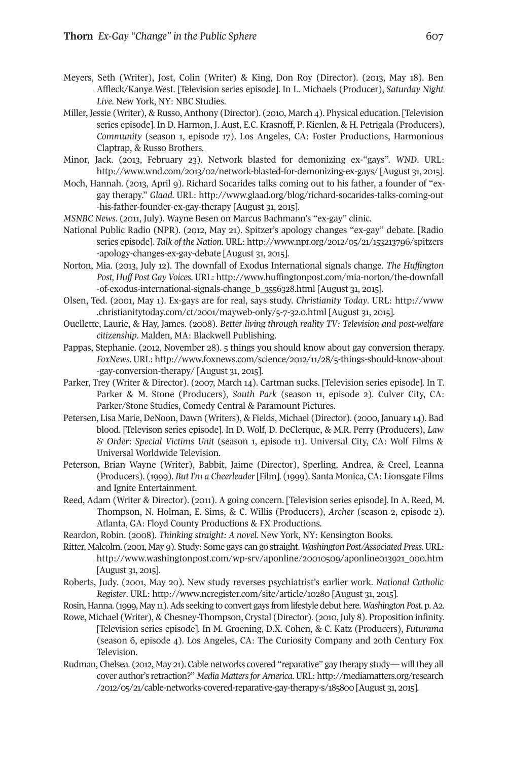- Meyers, Seth (Writer), Jost, Colin (Writer) & King, Don Roy (Director). (2013, May 18). Ben Affleck/Kanye West. [Television series episode]. In L. Michaels (Producer), *Saturday Night Live*. New York, NY: NBC Studies.
- Miller, Jessie (Writer), & Russo, Anthony (Director). (2010, March 4). Physical education. [Television series episode]. In D. Harmon, J. Aust, E.C. Krasnoff, P. Kienlen, & H. Petrigala (Producers), *Community* (season 1, episode 17). Los Angeles, CA: Foster Productions, Harmonious Claptrap, & Russo Brothers.
- Minor, Jack. (2013, February 23). Network blasted for demonizing ex-"gays". *WND*. URL: <http://www.wnd.com/2013/02/network-blasted-for-demonizing-ex-gays/> [August 31, 2015].
- Moch, Hannah. (2013, April 9). Richard Socarides talks coming out to his father, a founder of "exgay therapy." *Glaad*. URL: [http://www.glaad.org/blog/richard-socarides-talks-coming-out](http://www.glaad.org/blog/richard-socarides-talks-coming-out-his-father-founder-ex-gay-therapy) [-his-father-founder-ex-gay-therapy](http://www.glaad.org/blog/richard-socarides-talks-coming-out-his-father-founder-ex-gay-therapy) [August 31, 2015].
- *MSNBC News*. (2011, July). Wayne Besen on Marcus Bachmann's "ex-gay" clinic.
- National Public Radio (NPR)*.* (2012, May 21). Spitzer's apology changes "ex-gay" debate. [Radio series episode]. *Talk of the Nation*. URL: [http://www.npr.org/2012/05/21/153213796/spitzers](http://www.npr.org/2012/05/21/153213796/spitzers-apology-changes-ex-gay-debate) [-apology-changes-ex-gay-debate](http://www.npr.org/2012/05/21/153213796/spitzers-apology-changes-ex-gay-debate) [August 31, 2015].
- Norton, Mia. (2013, July 12). The downfall of Exodus International signals change. *The Huffington Post, Huff Post Gay Voices*. URL: [http://www.huffingtonpost.com/mia-norton/the-downfall](http://www.huffingtonpost.com/mia-norton/the-downfall-of-exodus-international-signals-change_b_3556328.html) [-of-exodus-international-signals-change\\_b\\_3556328.html](http://www.huffingtonpost.com/mia-norton/the-downfall-of-exodus-international-signals-change_b_3556328.html) [August 31, 2015].
- Olsen, Ted. (2001, May 1). Ex-gays are for real, says study. *Christianity Today*. URL: [http://www](http://www.christianitytoday.com/ct/2001/mayweb-only/5-7-32.0.html) [.christianitytoday.com/ct/2001/mayweb-only/5-7-32.0.html](http://www.christianitytoday.com/ct/2001/mayweb-only/5-7-32.0.html) [August 31, 2015].
- Ouellette, Laurie, & Hay, James. (2008). *Better living through reality TV: Television and post-welfare citizenship*. Malden, MA: Blackwell Publishing.
- Pappas, Stephanie. (2012, November 28). 5 things you should know about gay conversion therapy. *FoxNews*. URL: [http://www.foxnews.com/science/2012/11/28/5-things-should-know-about](http://www.foxnews.com/science/2012/11/28/5-things-should-know-about-gay-conversion-therapy) [-gay-conversion-therapy/](http://www.foxnews.com/science/2012/11/28/5-things-should-know-about-gay-conversion-therapy) [August 31, 2015].
- Parker, Trey (Writer & Director). (2007, March 14). Cartman sucks. [Television series episode]. In T. Parker & M. Stone (Producers), *South Park* (season 11, episode 2). Culver City, CA: Parker/Stone Studies, Comedy Central & Paramount Pictures.
- Petersen, Lisa Marie, DeNoon, Dawn (Writers), & Fields, Michael (Director). (2000, January 14). Bad blood. [Televison series episode]. In D. Wolf, D. DeClerque, & M.R. Perry (Producers), *Law & Order: Special Victims Unit* (season 1, episode 11). Universal City, CA: Wolf Films & Universal Worldwide Television.
- Peterson, Brian Wayne (Writer), Babbit, Jaime (Director), Sperling, Andrea, & Creel, Leanna (Producers). (1999). *But I'm a Cheerleader*[Film]*.* (1999). Santa Monica, CA: Lionsgate Films and Ignite Entertainment.
- Reed, Adam (Writer & Director). (2011). A going concern. [Television series episode]*.* In A. Reed, M. Thompson, N. Holman, E. Sims, & C. Willis (Producers), *Archer* (season 2, episode 2). Atlanta, GA: Floyd County Productions & FX Productions.
- Reardon, Robin. (2008). *Thinking straight: A novel.* New York, NY: Kensington Books.
- Ritter, Malcolm. (2001, May 9). Study: Some gays can go straight. *Washington Post/Associated Press*.URL: [http://www.washingtonpost.com/wp-srv/aponline/20010509/aponline013921\\_000.htm](http://www.washingtonpost.com/wp-srv/aponline/20010509/aponline013921_000.htm) [August 31, 2015].
- Roberts, Judy. (2001, May 20). New study reverses psychiatrist's earlier work. *National Catholic Register*. URL: <http://www.ncregister.com/site/article/10280> [August 31, 2015].
- Rosin, Hanna. (1999, May 11).Ads seeking to convert gays from lifestyle debut here. *Washington Post*. p.A2.
- Rowe, Michael (Writer), & Chesney-Thompson, Crystal (Director). (2010, July 8). Proposition infinity. [Television series episode]. In M. Groening, D.X. Cohen, & C. Katz (Producers), *Futurama* (season 6, episode 4). Los Angeles, CA: The Curiosity Company and 20th Century Fox Television.
- Rudman, Chelsea. (2012, May 21). Cable networks covered "reparative" gay therapy study—willthey all cover author's retraction?" *Media Mattersfor America*. URL: [http://mediamatters.org/research](http://mediamatters.org/research/2012/05/21/cable-networks-covered-reparative-gay-therapy-s/185800) [/2012/05/21/cable-networks-covered-reparative-gay-therapy-s/185800](http://mediamatters.org/research/2012/05/21/cable-networks-covered-reparative-gay-therapy-s/185800) [August 31, 2015].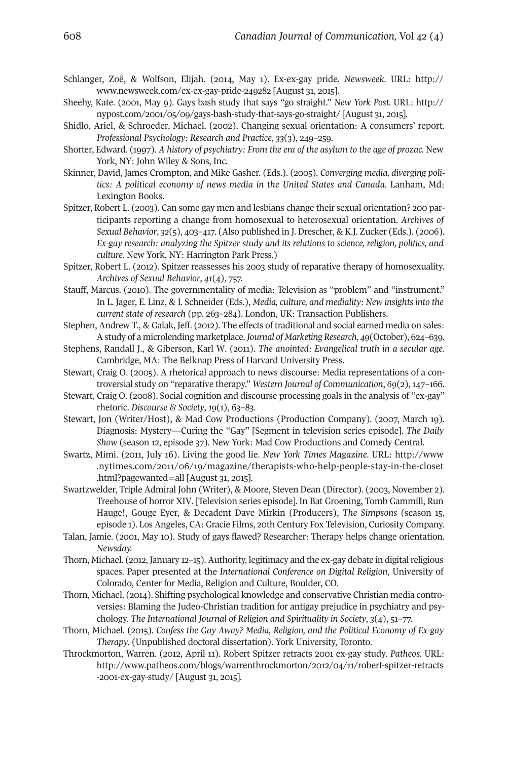- Schlanger, Zoë, & Wolfson, Elijah. (2014, May 1). Ex-ex-gay pride. *Newsweek*. URL: [http://](http://www.newsweek.com/ex-ex-gay-pride-249282) [www.newsweek.com/ex-ex-gay-pride-249282](http://www.newsweek.com/ex-ex-gay-pride-249282) [August 31, 2015].
- Sheehy, Kate. (2001, May 9). Gays bash study that says "go straight." *New York Post*. URL: [http://](http://nypost.com/2001/05/09/gays-bash-study-that-says-go-straight/) [nypost.com/2001/05/09/gays-bash-study-that-says-go-straight/](http://nypost.com/2001/05/09/gays-bash-study-that-says-go-straight/) [August 31, 2015].
- Shidlo, Ariel, & Schroeder, Michael. (2002). Changing sexual orientation: A consumers' report. *Professional Psychology: Research and Practice*, *33*(3), 249–259.
- Shorter, Edward. (1997). *A history of psychiatry: From the era of the asylum to the age of prozac.* New York, NY: John Wiley & Sons, Inc.
- Skinner, David, James Crompton, and Mike Gasher. (Eds.). (2005). *Converging media, diverging politics: A political economy of news media in the United States and Canada*. Lanham, Md: Lexington Books.
- Spitzer, Robert L. (2003). Can some gay men and lesbians change their sexual orientation? 200 participants reporting a change from homosexual to heterosexual orientation. *Archives of Sexual Behavior*, *32*(5), 403–417. (Also published in J. Drescher, & K.J. Zucker (Eds.). (2006). *Ex-gay research: analyzing the Spitzer study and its relations to science, religion, politics, and culture*. New York, NY: Harrington Park Press.)
- Spitzer, Robert L. (2012). Spitzer reassesses his 2003 study of reparative therapy of homosexuality. *Archives of Sexual Behavior*, *41*(4), 757.
- Stauff, Marcus. (2010). The governmentality of media: Television as "problem" and "instrument." In L. Jager, E. Linz, & I. Schneider (Eds.), *Media, culture, and mediality: New insights into the current state of research* (pp. 263–284). London, UK: Transaction Publishers.
- Stephen, Andrew T., & Galak, Jeff. (2012). The effects of traditional and social earned media on sales: Astudy of a microlending marketplace. *Journal of Marketing Research*, *49*(October), 624–639.
- Stephens, Randall J., & Giberson, Karl W. (2011). *The anointed: Evangelical truth in a secular age*. Cambridge, MA: The Belknap Press of Harvard University Press.
- Stewart, Craig O. (2005). A rhetorical approach to news discourse: Media representations of a controversial study on "reparative therapy." *Western Journal of Communication*, *69*(2), 147–166.
- Stewart, Craig O. (2008). Social cognition and discourse processing goals in the analysis of "ex-gay" rhetoric. *Discourse & Society*, *19*(1), 63–83.
- Stewart, Jon (Writer/Host), & Mad Cow Productions (Production Company)*.* (2007, March 19). Diagnosis: Mystery—Curing the "Gay" [Segment in television series episode]. *The Daily Show* (season 12, episode 37). New York: Mad Cow Productions and Comedy Central.
- Swartz, Mimi. (2011, July 16). Living the good lie. *New York Times Magazine*. URL: [http://www](http://www.nytimes.com/2011/06/19/magazine/therapists-who-help-people-stay-in-the-closet.html?pagewanted=all) [.nytimes.com/2011/06/19/magazine/therapists-who-help-people-stay-in-the-closet](http://www.nytimes.com/2011/06/19/magazine/therapists-who-help-people-stay-in-the-closet.html?pagewanted=all) [.html?pagewanted=all](http://www.nytimes.com/2011/06/19/magazine/therapists-who-help-people-stay-in-the-closet.html?pagewanted=all) [August 31, 2015].
- Swartzwelder, Triple Admiral John (Writer), & Moore, Steven Dean (Director). (2003, November 2). Treehouse of horror XIV. [Television series episode]*.* In Bat Groening, Tomb Gammill, Run Hauge!, Gouge Eyer, & Decadent Dave Mirkin (Producers), *The Simpsons* (season 15, episode 1). Los Angeles, CA: Gracie Films, 20th Century Fox Television, Curiosity Company.
- Talan, Jamie. (2001, May 10). Study of gays flawed? Researcher: Therapy helps change orientation. *Newsday.*
- Thorn, Michael. (2012, January 12–15). Authority, legitimacy and the ex-gay debate in digitalreligious spaces. Paper presented at the *International Conference on Digital Religion*, University of Colorado, Center for Media, Religion and Culture, Boulder, CO.
- Thorn, Michael. (2014). Shifting psychological knowledge and conservative Christian media controversies: Blaming the Judeo-Christian tradition for antigay prejudice in psychiatry and psychology. *The International Journal of Religion and Spirituality in Society*, *3*(4), 51–77.
- Thorn, Michael. (2015). *Confess the Gay Away? Media, Religion, and the Political Economy of Ex-gay Therapy*. (Unpublished doctoral dissertation). York University, Toronto.
- Throckmorton, Warren. (2012, April 11). Robert Spitzer retracts 2001 ex-gay study. *Patheos.* URL: [http://www.patheos.com/blogs/warrenthrockmorton/2012/04/11/robert-spitzer-retracts](http://www.patheos.com/blogs/warrenthrockmorton/2012/04/11/robert-spitzer-retracts-2001-ex-gay-study) [-2001-ex-gay-study/](http://www.patheos.com/blogs/warrenthrockmorton/2012/04/11/robert-spitzer-retracts-2001-ex-gay-study) [August 31, 2015].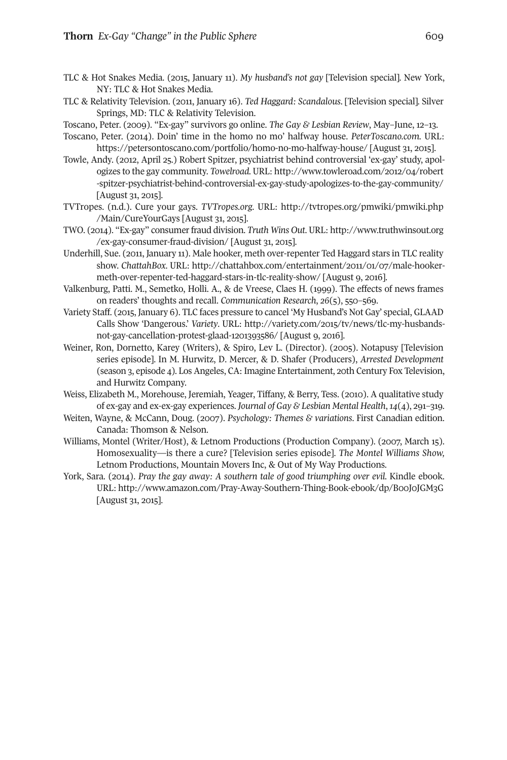- TLC & Hot Snakes Media. (2015, January 11). *My husband's not gay* [Television special]*.* New York, NY: TLC & Hot Snakes Media.
- TLC & Relativity Television. (2011, January 16). *Ted Haggard: Scandalous*. [Television special]*.* Silver Springs, MD: TLC & Relativity Television.

Toscano, Peter. (2009). "Ex-gay" survivors go online. *The Gay & Lesbian Review*, May–June, 12–13.

- Toscano, Peter. (2014). Doin' time in the homo no mo' halfway house. *PeterToscano.com.* URL: <https://petersontoscano.com/portfolio/homo-no-mo-halfway-house/> [August 31, 2015].
- Towle, Andy. (2012, April 25.) Robert Spitzer, psychiatrist behind controversial 'ex-gay' study, apologizes to the gay community. *Towelroad.* URL: [http://www.towleroad.com/2012/04/robert](http://www.towleroad.com/2012/04/robert-spitzer-psychiatrist-behind-controversial-ex-gay-study-apologizes-to-the-gay-community/) [-spitzer-psychiatrist-behind-controversial-ex-gay-study-apologizes-to-the-gay-community/](http://www.towleroad.com/2012/04/robert-spitzer-psychiatrist-behind-controversial-ex-gay-study-apologizes-to-the-gay-community/) [August 31, 2015].
- TVTropes. (n.d.). Cure your gays. *TVTropes.org.* URL: [http://tvtropes.org/pmwiki/pmwiki.php](http://tvtropes.org/pmwiki/pmwiki.php/Main/CureYourGays) [/Main/CureYourGays](http://tvtropes.org/pmwiki/pmwiki.php/Main/CureYourGays) [August 31, 2015].
- TWO. (2014). "Ex-gay" consumerfraud division. *Truth Wins Out*. URL: [http://www.truthwinsout.org](http://www.truthwinsout.org/ex-gay-consumer-fraud-division/) [/ex-gay-consumer-fraud-division/](http://www.truthwinsout.org/ex-gay-consumer-fraud-division/) [August 31, 2015].
- Underhill, Sue. (2011, January 11). Male hooker, meth over-repenter Ted Haggard stars in TLC reality show. *ChattahBox*. URL: [http://chattahbox.com/entertainment/2011/01/07/male-hooker](http://chattahbox.com/entertainment/2011/01/07/male-hooker-meth-over-repenter-ted-haggard-stars-in-tlc-reality-show/)[meth-over-repenter-ted-haggard-stars-in-tlc-reality-show/](http://chattahbox.com/entertainment/2011/01/07/male-hooker-meth-over-repenter-ted-haggard-stars-in-tlc-reality-show/) [August 9, 2016].
- Valkenburg, Patti. M., Semetko, Holli. A., & de Vreese, Claes H. (1999). The effects of news frames on readers' thoughts and recall. *Communication Research*, *26*(5), 550–569.
- Variety Staff. (2015, January 6). TLC faces pressure to cancel 'My Husband's Not Gay' special, GLAAD Calls Show 'Dangerous.' *Variety*. URL: [http://variety.com/2015/tv/news/tlc-my-husbands](http://variety.com/2015/tv/news/tlc-my-husbands-not-gay-cancellation-protest-glaad-1201393586/)[not-gay-cancellation-protest-glaad-1201393586/](http://variety.com/2015/tv/news/tlc-my-husbands-not-gay-cancellation-protest-glaad-1201393586/) [August 9, 2016].
- Weiner, Ron, Dornetto, Karey (Writers), & Spiro, Lev L. (Director). (2005). Notapusy [Television series episode]. In M. Hurwitz, D. Mercer, & D. Shafer (Producers), *Arrested Development* (season 3, episode 4)*.* Los Angeles, CA: Imagine Entertainment, 20th Century Fox Television, and Hurwitz Company.
- Weiss, Elizabeth M., Morehouse, Jeremiah, Yeager, Tiffany, & Berry, Tess. (2010). A qualitative study of ex-gay and ex-ex-gay experiences. *Journal of Gay & Lesbian Mental Health*,*14*(4), 291–319.
- Weiten, Wayne, & McCann, Doug. (2007). *Psychology: Themes & variations*. First Canadian edition. Canada: Thomson & Nelson.
- Williams, Montel (Writer/Host), & Letnom Productions (Production Company)*.* (2007, March 15). Homosexuality—is there a cure? [Television series episode]. *The Montel Williams Show,* Letnom Productions, Mountain Movers Inc, & Out of My Way Productions.
- York, Sara. (2014). *Pray the gay away: A southern tale of good triumphing over evil.* Kindle ebook. URL: <http://www.amazon.com/Pray-Away-Southern-Thing-Book-ebook/dp/B00J0JGM3G> [August 31, 2015].